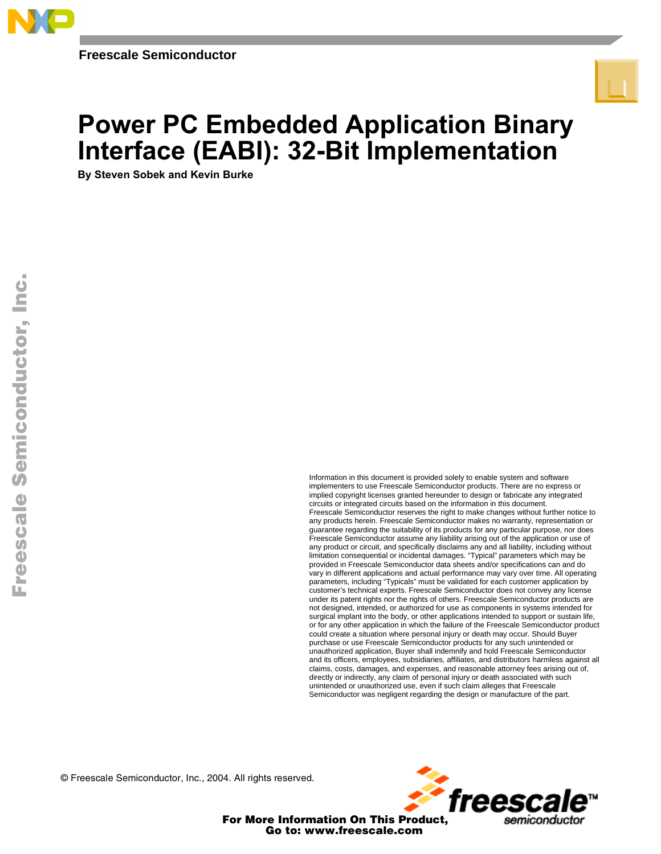

# **Power PC Embedded Application Binary** Interface (EABI): 32-Bit Implementation

By Steven Sobek and Kevin Burke

Information in this document is provided solely to enable system and software implementers to use Freescale Semiconductor products. There are no express or implied copyright licenses granted hereunder to design or fabricate any integrated circuits or integrated circuits based on the information in this document. Freescale Semiconductor reserves the right to make changes without further notice to any products herein. Freescale Semiconductor makes no warranty, representation or guarantee regarding the suitability of its products for any particular purpose, nor does Freescale Semiconductor assume any liability arising out of the application or use of any product or circuit, and specifically disclaims any and all liability, including without limitation consequential or incidental damages. "Typical" parameters which may be provided in Freescale Semiconductor data sheets and/or specifications can and do vary in different applications and actual performance may vary over time. All operating parameters, including "Typicals" must be validated for each customer application by customer's technical experts. Freescale Semiconductor does not convey any license under its patent rights nor the rights of others. Freescale Semiconductor products are not designed, intended, or authorized for use as components in systems intended for surgical implant into the body, or other applications intended to support or sustain life, or for any other application in which the failure of the Freescale Semiconductor product could create a situation where personal injury or death may occur. Should Buyer purchase or use Freescale Semiconductor products for any such unintended or unauthorized application, Buyer shall indemnify and hold Freescale Semiconductor and its officers, employees, subsidiaries, affiliates, and distributors harmless against all claims, costs, damages, and expenses, and reasonable attorney fees arising out of, directly or indirectly, any claim of personal injury or death associated with such unintended or unauthorized use, even if such claim alleges that Freescale Semiconductor was negligent regarding the design or manufacture of the part.

© Freescale Semiconductor, Inc., 2004. All rights reserved.



For More Information On This Product, Go to: www.freescale.com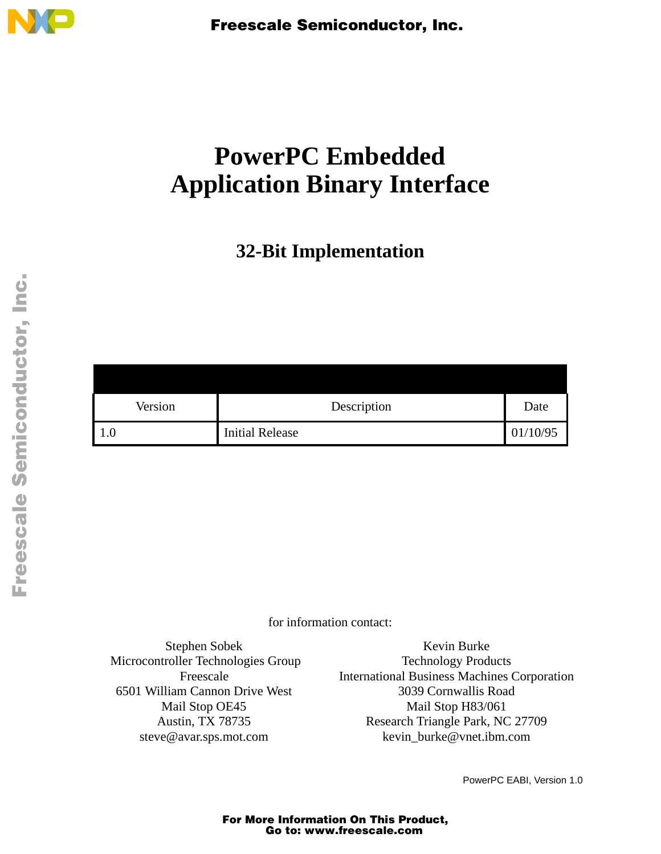

# **PowerPC Embedded Application Binary Interface**

**32-Bit Implementation**

| Description | Date |
|-------------|------|
|             |      |
|             |      |

for information contact:

Stephen Sobek Microcontroller Technologies Group Freescale 6501 William Cannon Drive West Mail Stop OE45 Austin, TX 78735 steve@avar.sps.mot.com

Kevin Burke Technology Products International Business Machines Corporation 3039 Cornwallis Road Mail Stop H83/061 Research Triangle Park, NC 27709 kevin\_burke@vnet.ibm.com

PowerPC EABI, Version 1.0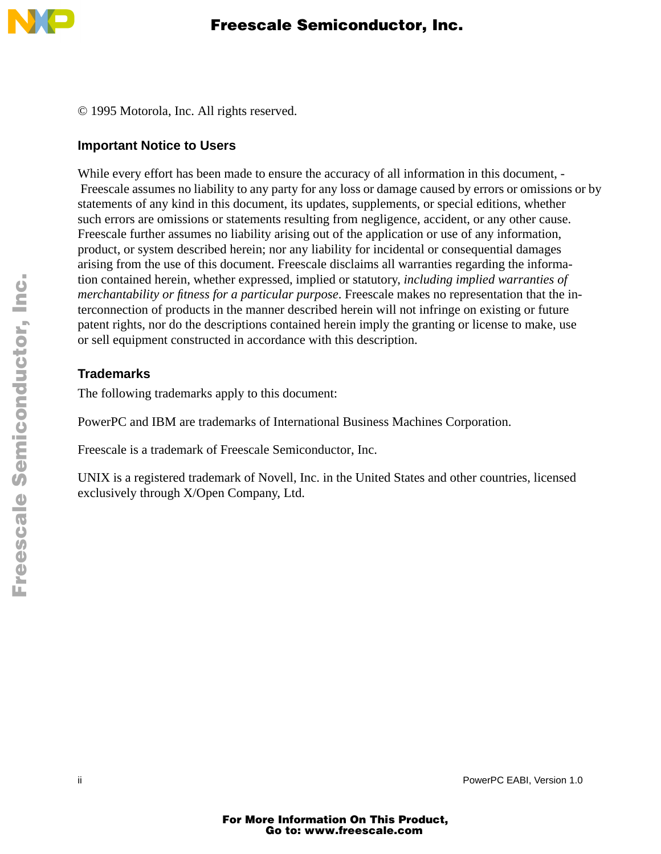

© 1995 Motorola, Inc. All rights reserved.

#### **Important Notice to Users**

While every effort has been made to ensure the accuracy of all information in this document, - Freescale assumes no liability to any party for any loss or damage caused by errors or omissions or by statements of any kind in this document, its updates, supplements, or special editions, whether such errors are omissions or statements resulting from negligence, accident, or any other cause. Freescale further assumes no liability arising out of the application or use of any information, product, or system described herein; nor any liability for incidental or consequential damages arising from the use of this document. Freescale disclaims all warranties regarding the information contained herein, whether expressed, implied or statutory, *including implied warranties of merchantability or fitness for a particular purpose*. Freescale makes no representation that the interconnection of products in the manner described herein will not infringe on existing or future patent rights, nor do the descriptions contained herein imply the granting or license to make, use or sell equipment constructed in accordance with this description.

#### **Trademarks**

The following trademarks apply to this document:

PowerPC and IBM are trademarks of International Business Machines Corporation.

Freescale is a trademark of Freescale Semiconductor, Inc.

UNIX is a registered trademark of Novell, Inc. in the United States and other countries, licensed exclusively through X/Open Company, Ltd.

ii PowerPC EABI, Version 1.0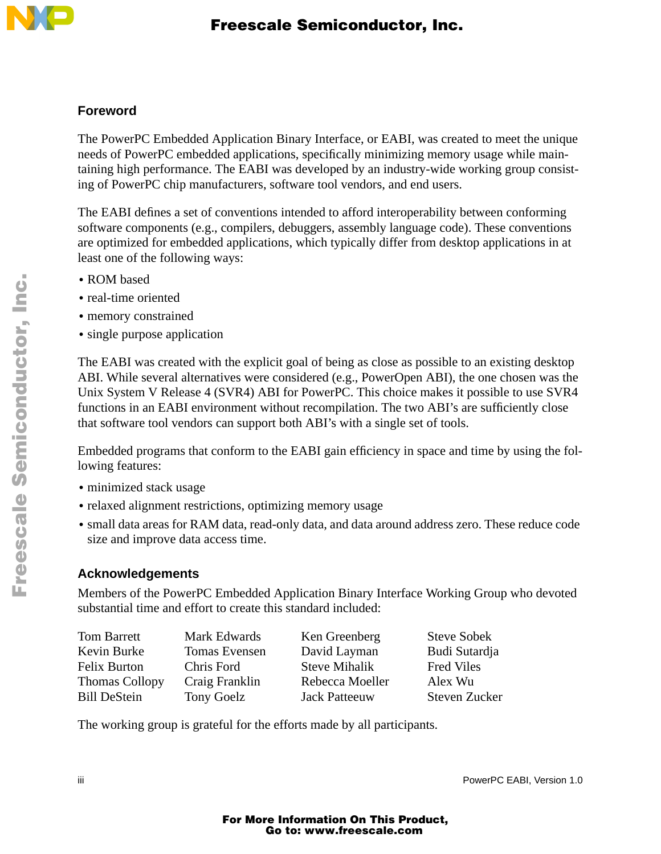

#### **Foreword**

The PowerPC Embedded Application Binary Interface, or EABI, was created to meet the unique needs of PowerPC embedded applications, specifically minimizing memory usage while maintaining high performance. The EABI was developed by an industry-wide working group consisting of PowerPC chip manufacturers, software tool vendors, and end users.

The EABI defines a set of conventions intended to afford interoperability between conforming software components (e.g., compilers, debuggers, assembly language code). These conventions are optimized for embedded applications, which typically differ from desktop applications in at least one of the following ways:

- **•** ROM based
- **•** real-time oriented
- **•** memory constrained
- single purpose application

The EABI was created with the explicit goal of being as close as possible to an existing desktop ABI. While several alternatives were considered (e.g., PowerOpen ABI), the one chosen was the Unix System V Release 4 (SVR4) ABI for PowerPC. This choice makes it possible to use SVR4 functions in an EABI environment without recompilation. The two ABI's are sufficiently close that software tool vendors can support both ABI's with a single set of tools.

Embedded programs that conform to the EABI gain efficiency in space and time by using the following features:

- **•** minimized stack usage
- **•** relaxed alignment restrictions, optimizing memory usage
- **•** small data areas for RAM data, read-only data, and data around address zero. These reduce code size and improve data access time.

#### **Acknowledgements**

Members of the PowerPC Embedded Application Binary Interface Working Group who devoted substantial time and effort to create this standard included:

| Tom Barrett           | Mark Edwards         | Ken Greenberg        | <b>Steve Sobek</b>   |
|-----------------------|----------------------|----------------------|----------------------|
| Kevin Burke           | <b>Tomas Evensen</b> | David Layman         | Budi Sutardja        |
| Felix Burton          | Chris Ford           | <b>Steve Mihalik</b> | <b>Fred Viles</b>    |
| <b>Thomas Collopy</b> | Craig Franklin       | Rebecca Moeller      | Alex Wu              |
| <b>Bill DeStein</b>   | Tony Goelz           | <b>Jack Patteeuw</b> | <b>Steven Zucker</b> |

The working group is grateful for the efforts made by all participants.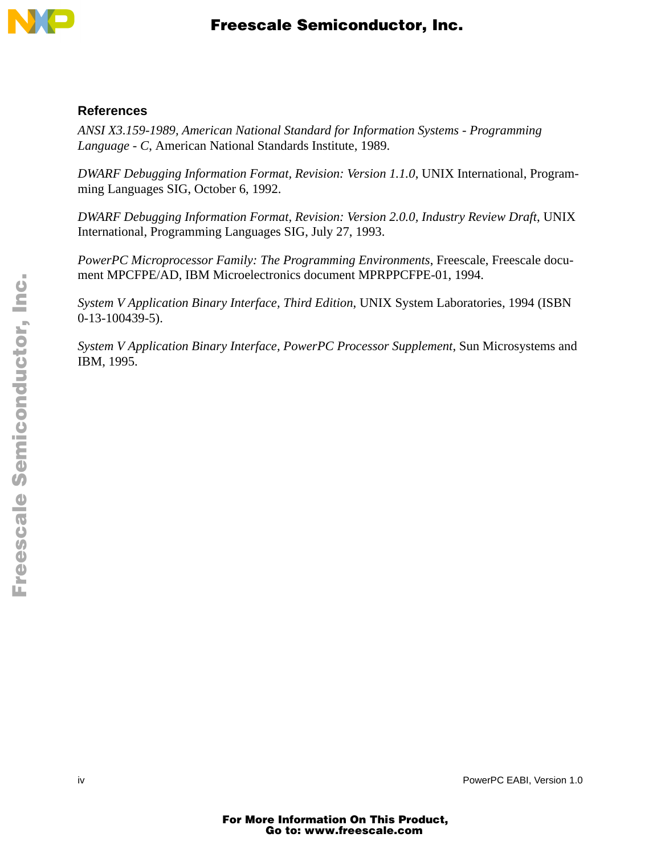

#### **References**

*ANSI X3.159-1989, American National Standard for Information Systems - Programming Language - C*, American National Standards Institute, 1989.

*DWARF Debugging Information Format, Revision: Version 1.1.0*, UNIX International, Programming Languages SIG, October 6, 1992.

*DWARF Debugging Information Format, Revision: Version 2.0.0, Industry Review Draft*, UNIX International, Programming Languages SIG, July 27, 1993.

*PowerPC Microprocessor Family: The Programming Environments*, Freescale, Freescale document MPCFPE/AD, IBM Microelectronics document MPRPPCFPE-01, 1994.

*System V Application Binary Interface, Third Edition*, UNIX System Laboratories, 1994 (ISBN 0-13-100439-5).

*System V Application Binary Interface, PowerPC Processor Supplement*, Sun Microsystems and IBM, 1995.

iv PowerPC EABI, Version 1.0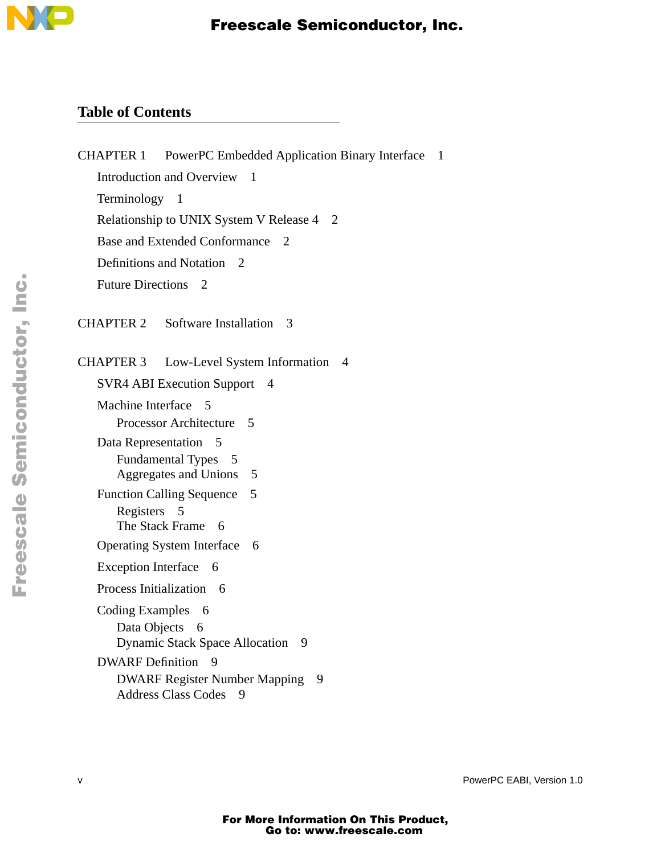

## **Table of Contents**

| <b>CHAPTER 1</b><br>PowerPC Embedded Application Binary Interface            | -1 |
|------------------------------------------------------------------------------|----|
| <b>Introduction and Overview</b><br>$\overline{1}$                           |    |
| Terminology<br>- 1                                                           |    |
| Relationship to UNIX System V Release 4 2                                    |    |
| Base and Extended Conformance<br>$\mathcal{D}_{\mathcal{L}}$                 |    |
| Definitions and Notation<br>$\mathcal{D}_{\mathcal{L}}$                      |    |
| <b>Future Directions</b><br>2                                                |    |
| Software Installation<br>CHAPTER 2<br>$\mathcal{R}$                          |    |
| Low-Level System Information<br>CHAPTER 3<br>4                               |    |
| <b>SVR4 ABI Execution Support</b><br>4                                       |    |
| Machine Interface 5                                                          |    |
| Processor Architecture<br>5                                                  |    |
| Data Representation<br>$\overline{5}$                                        |    |
| <b>Fundamental Types</b><br>- 5<br><b>Aggregates and Unions</b><br>5         |    |
| <b>Function Calling Sequence</b><br>5                                        |    |
| Registers 5                                                                  |    |
| The Stack Frame 6                                                            |    |
| <b>Operating System Interface</b><br>6                                       |    |
| <b>Exception Interface</b><br>- 6                                            |    |
| Process Initialization 6                                                     |    |
| <b>Coding Examples</b><br>6                                                  |    |
| Data Objects<br>6                                                            |    |
| <b>Dynamic Stack Space Allocation</b><br>9                                   |    |
| DWARF Definition 9                                                           |    |
| <b>DWARF Register Number Mapping</b><br>9<br><b>Address Class Codes</b><br>9 |    |
|                                                                              |    |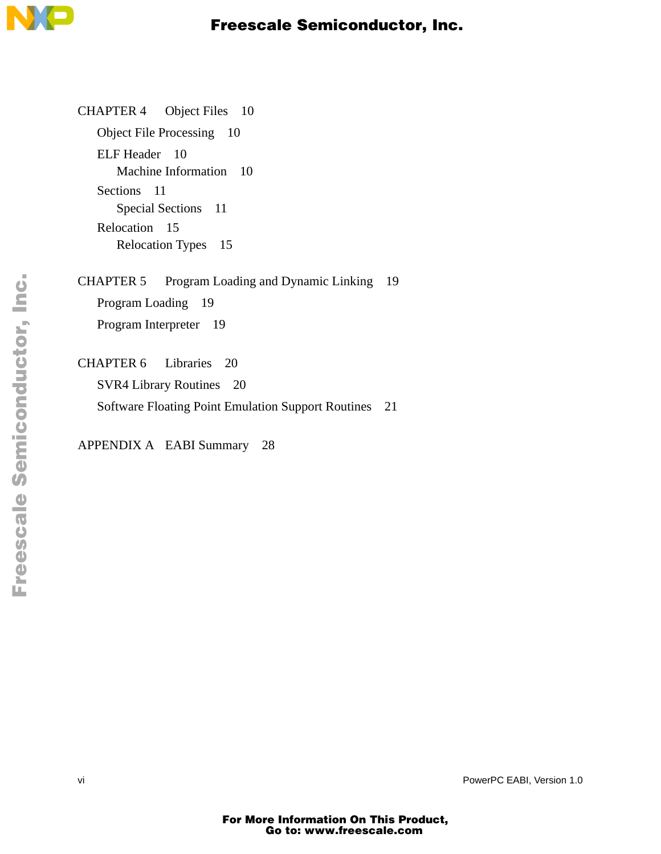

CHAPTER 4 Object Files 10 Object File Processing 10 ELF Header 10 Machine Information 10 Sections 11 Special Sections 11 Relocation 15 Relocation Types 15

CHAPTER 5 Program Loading and Dynamic Linking 19 Program Loading 19 Program Interpreter 19

CHAPTER 6 Libraries 20 SVR4 Library Routines 20 Software Floating Point Emulation Support Routines 21

APPENDIX A EABI Summary 28

vi vi **PowerPC EABI, Version 1.0**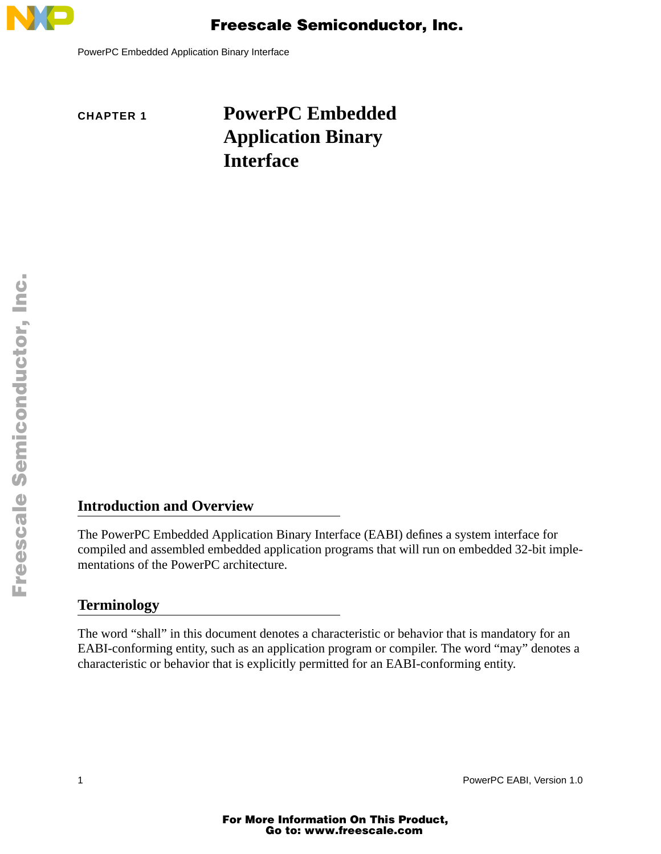

PowerPC Embedded Application Binary Interface

# **CHAPTER 1 PowerPC Embedded Application Binary Interface**

#### **Introduction and Overview**

The PowerPC Embedded Application Binary Interface (EABI) defines a system interface for compiled and assembled embedded application programs that will run on embedded 32-bit implementations of the PowerPC architecture.

#### **Terminology**

The word "shall" in this document denotes a characteristic or behavior that is mandatory for an EABI-conforming entity, such as an application program or compiler. The word "may" denotes a characteristic or behavior that is explicitly permitted for an EABI-conforming entity.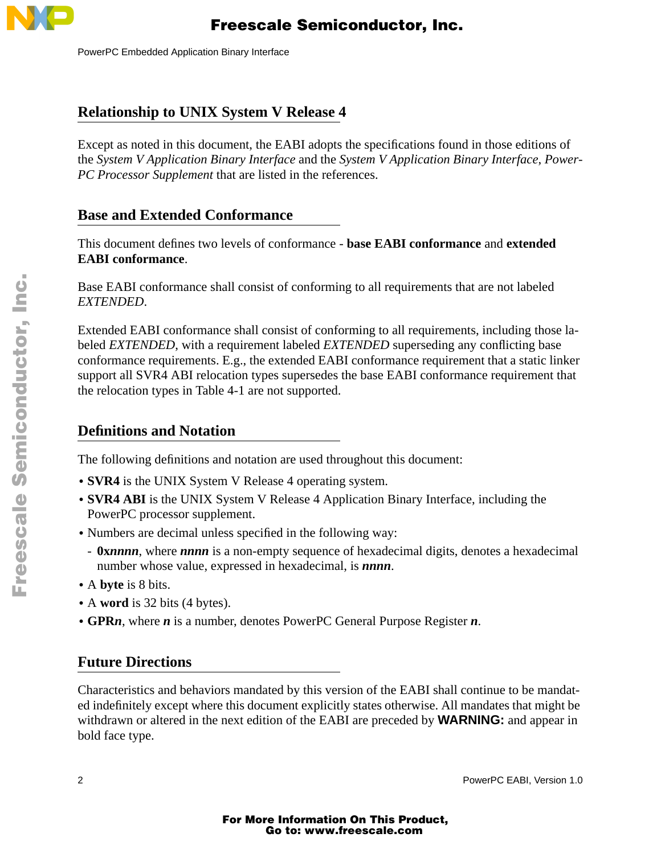

PowerPC Embedded Application Binary Interface

### **Relationship to UNIX System V Release 4**

Except as noted in this document, the EABI adopts the specifications found in those editions of the *System V Application Binary Interface* and the *System V Application Binary Interface*, *Power-PC Processor Supplement* that are listed in the references.

### **Base and Extended Conformance**

This document defines two levels of conformance - **base EABI conformance** and **extended EABI conformance**.

Base EABI conformance shall consist of conforming to all requirements that are not labeled *EXTENDED*.

Extended EABI conformance shall consist of conforming to all requirements, including those labeled *EXTENDED*, with a requirement labeled *EXTENDED* superseding any conflicting base conformance requirements. E.g., the extended EABI conformance requirement that a static linker support all SVR4 ABI relocation types supersedes the base EABI conformance requirement that the relocation types in Table 4-1 are not supported.

### **Definitions and Notation**

The following definitions and notation are used throughout this document:

- **• SVR4** is the UNIX System V Release 4 operating system.
- **• SVR4 ABI** is the UNIX System V Release 4 Application Binary Interface, including the PowerPC processor supplement.
- **•** Numbers are decimal unless specified in the following way:
- **0x***nnnn*, where *nnnn* is a non-empty sequence of hexadecimal digits, denotes a hexadecimal number whose value, expressed in hexadecimal, is *nnnn*.
- **•** A **byte** is 8 bits.
- **•** A **word** is 32 bits (4 bytes).
- **• GPR***n*, where *n* is a number, denotes PowerPC General Purpose Register *n*.

### **Future Directions**

Characteristics and behaviors mandated by this version of the EABI shall continue to be mandated indefinitely except where this document explicitly states otherwise. All mandates that might be withdrawn or altered in the next edition of the EABI are preceded by **WARNING:** and appear in bold face type.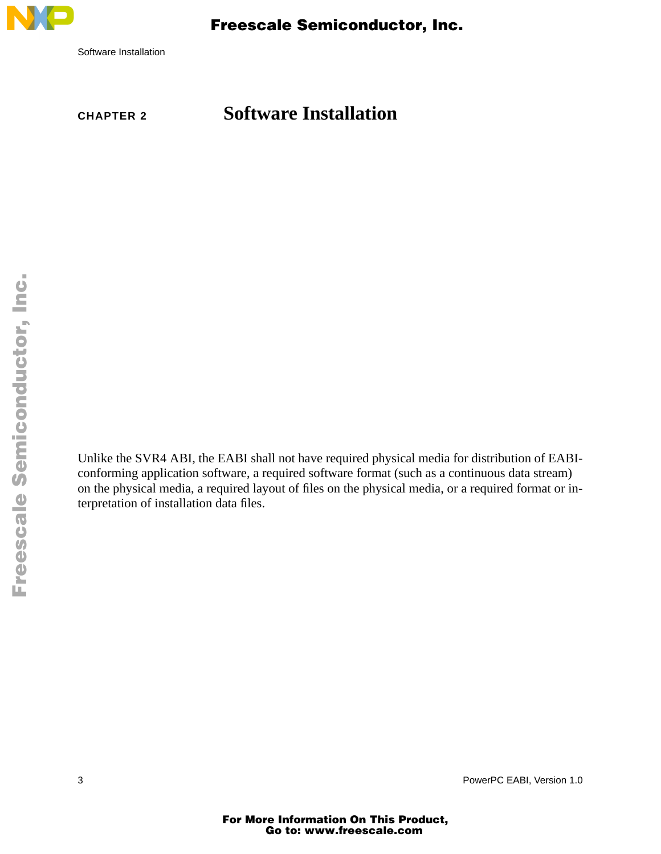

Software Installation

# **CHAPTER 2 Software Installation**

Unlike the SVR4 ABI, the EABI shall not have required physical media for distribution of EABIconforming application software, a required software format (such as a continuous data stream) on the physical media, a required layout of files on the physical media, or a required format or interpretation of installation data files.

3 PowerPC EABI, Version 1.0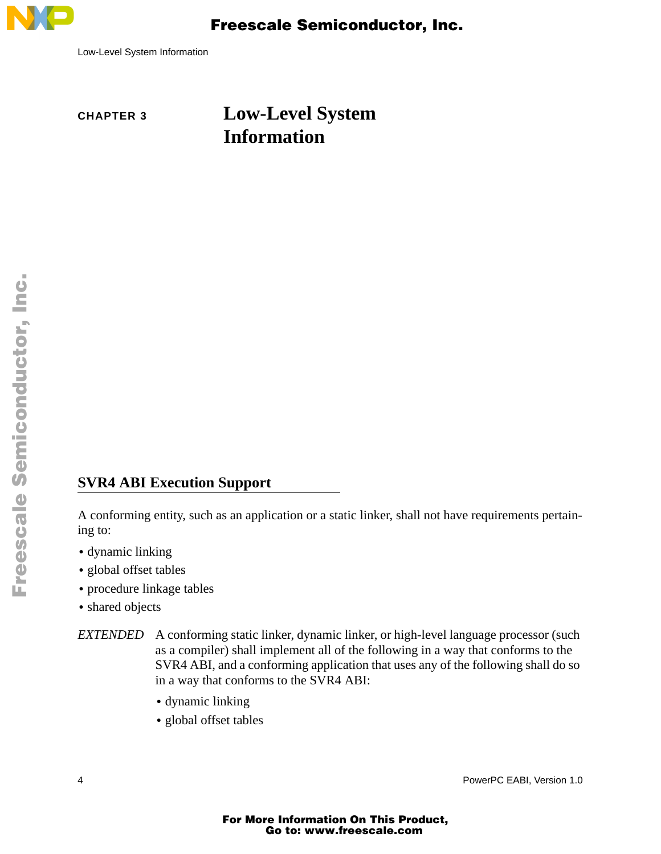

Low-Level System Information

# **CHAPTER 3 Low-Level System Information**

### **SVR4 ABI Execution Support**

A conforming entity, such as an application or a static linker, shall not have requirements pertaining to:

- **•** dynamic linking
- **•** global offset tables
- **•** procedure linkage tables
- **•** shared objects

*EXTENDED* A conforming static linker, dynamic linker, or high-level language processor (such as a compiler) shall implement all of the following in a way that conforms to the SVR4 ABI, and a conforming application that uses any of the following shall do so in a way that conforms to the SVR4 ABI:

- **•** dynamic linking
- **•** global offset tables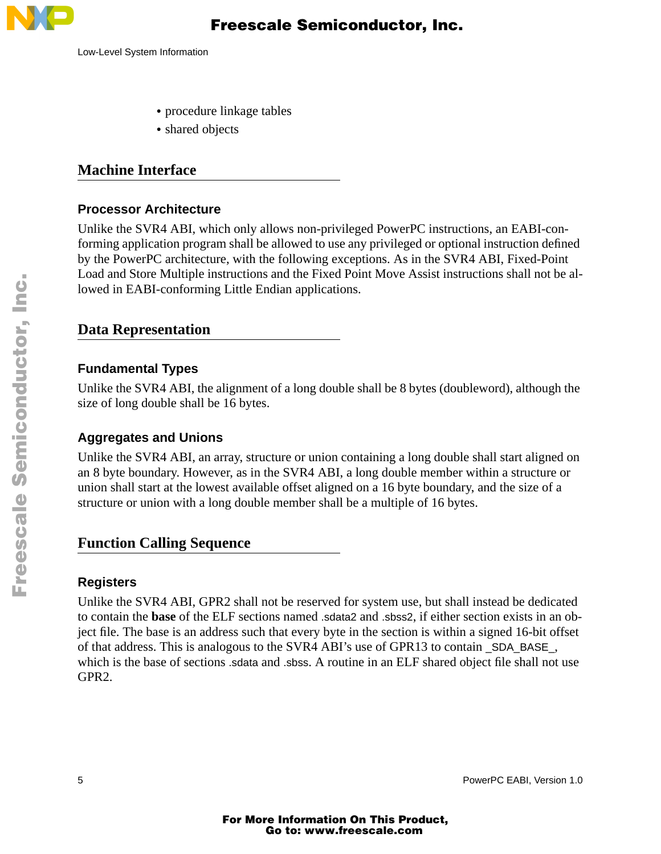

- **•** procedure linkage tables
- **•** shared objects

#### **Machine Interface**

#### **Processor Architecture**

Unlike the SVR4 ABI, which only allows non-privileged PowerPC instructions, an EABI-conforming application program shall be allowed to use any privileged or optional instruction defined by the PowerPC architecture, with the following exceptions. As in the SVR4 ABI, Fixed-Point Load and Store Multiple instructions and the Fixed Point Move Assist instructions shall not be allowed in EABI-conforming Little Endian applications.

#### **Data Representation**

#### **Fundamental Types**

Unlike the SVR4 ABI, the alignment of a long double shall be 8 bytes (doubleword), although the size of long double shall be 16 bytes.

#### **Aggregates and Unions**

Unlike the SVR4 ABI, an array, structure or union containing a long double shall start aligned on an 8 byte boundary. However, as in the SVR4 ABI, a long double member within a structure or union shall start at the lowest available offset aligned on a 16 byte boundary, and the size of a structure or union with a long double member shall be a multiple of 16 bytes.

### **Function Calling Sequence**

#### **Registers**

Unlike the SVR4 ABI, GPR2 shall not be reserved for system use, but shall instead be dedicated to contain the **base** of the ELF sections named .sdata2 and .sbss2, if either section exists in an object file. The base is an address such that every byte in the section is within a signed 16-bit offset of that address. This is analogous to the SVR4 ABI's use of GPR13 to contain \_SDA\_BASE\_, which is the base of sections .sdata and .sbss. A routine in an ELF shared object file shall not use GPR2.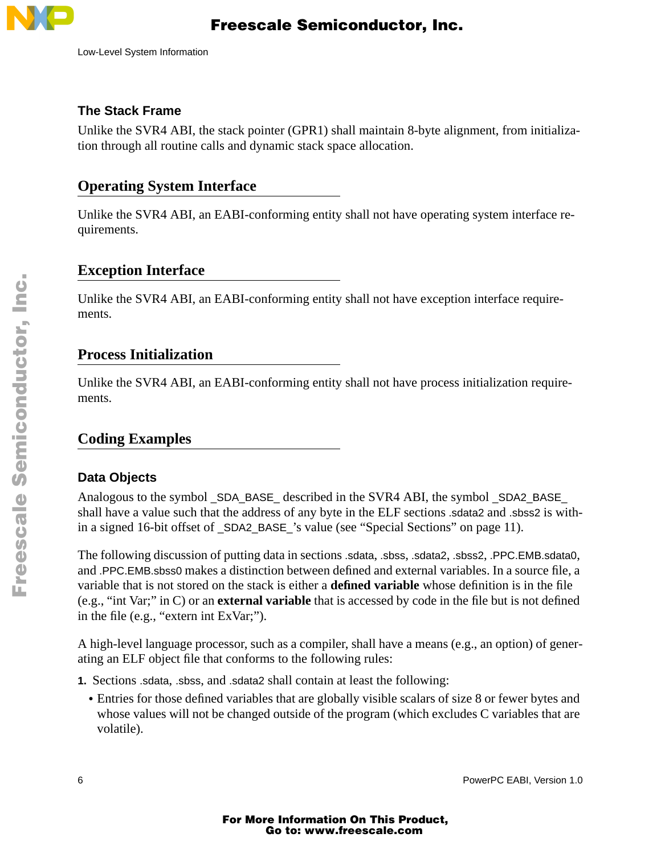

Low-Level System Information

#### **The Stack Frame**

Unlike the SVR4 ABI, the stack pointer (GPR1) shall maintain 8-byte alignment, from initialization through all routine calls and dynamic stack space allocation.

### **Operating System Interface**

Unlike the SVR4 ABI, an EABI-conforming entity shall not have operating system interface requirements.

### **Exception Interface**

Unlike the SVR4 ABI, an EABI-conforming entity shall not have exception interface requirements.

#### **Process Initialization**

Unlike the SVR4 ABI, an EABI-conforming entity shall not have process initialization requirements.

### **Coding Examples**

#### **Data Objects**

Analogous to the symbol \_SDA\_BASE\_ described in the SVR4 ABI, the symbol \_SDA2\_BASE\_ shall have a value such that the address of any byte in the ELF sections .sdata2 and .sbss2 is within a signed 16-bit offset of \_SDA2\_BASE\_'s value (see "Special Sections" on page 11).

The following discussion of putting data in sections .sdata, .sbss, .sdata2, .sbss2, .PPC.EMB.sdata0, and .PPC.EMB.sbss0 makes a distinction between defined and external variables. In a source file, a variable that is not stored on the stack is either a **defined variable** whose definition is in the file (e.g., "int Var;" in C) or an **external variable** that is accessed by code in the file but is not defined in the file (e.g., "extern int ExVar;").

A high-level language processor, such as a compiler, shall have a means (e.g., an option) of generating an ELF object file that conforms to the following rules:

- **1.** Sections .sdata, .sbss, and .sdata2 shall contain at least the following:
	- Entries for those defined variables that are globally visible scalars of size 8 or fewer bytes and whose values will not be changed outside of the program (which excludes C variables that are volatile).

.<br>ق

F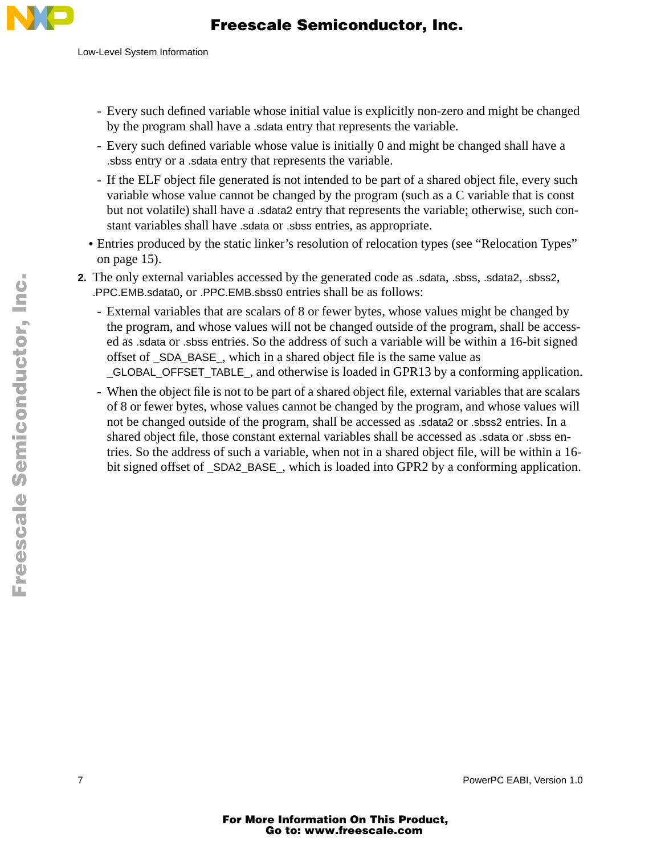

- Every such defined variable whose initial value is explicitly non-zero and might be changed by the program shall have a .sdata entry that represents the variable.
- Every such defined variable whose value is initially 0 and might be changed shall have a .sbss entry or a .sdata entry that represents the variable.
- If the ELF object file generated is not intended to be part of a shared object file, every such variable whose value cannot be changed by the program (such as a C variable that is const but not volatile) shall have a .sdata2 entry that represents the variable; otherwise, such constant variables shall have .sdata or .sbss entries, as appropriate.
- **•** Entries produced by the static linker's resolution of relocation types (see "Relocation Types" on page 15).
- **2.** The only external variables accessed by the generated code as .sdata, .sbss, .sdata2, .sbss2, .PPC.EMB.sdata0, or .PPC.EMB.sbss0 entries shall be as follows:
	- External variables that are scalars of 8 or fewer bytes, whose values might be changed by the program, and whose values will not be changed outside of the program, shall be accessed as .sdata or .sbss entries. So the address of such a variable will be within a 16-bit signed offset of \_SDA\_BASE\_, which in a shared object file is the same value as \_GLOBAL\_OFFSET\_TABLE\_, and otherwise is loaded in GPR13 by a conforming application.
	- When the object file is not to be part of a shared object file, external variables that are scalars of 8 or fewer bytes, whose values cannot be changed by the program, and whose values will not be changed outside of the program, shall be accessed as .sdata2 or .sbss2 entries. In a shared object file, those constant external variables shall be accessed as .sdata or .sbss entries. So the address of such a variable, when not in a shared object file, will be within a 16 bit signed offset of \_SDA2\_BASE\_, which is loaded into GPR2 by a conforming application.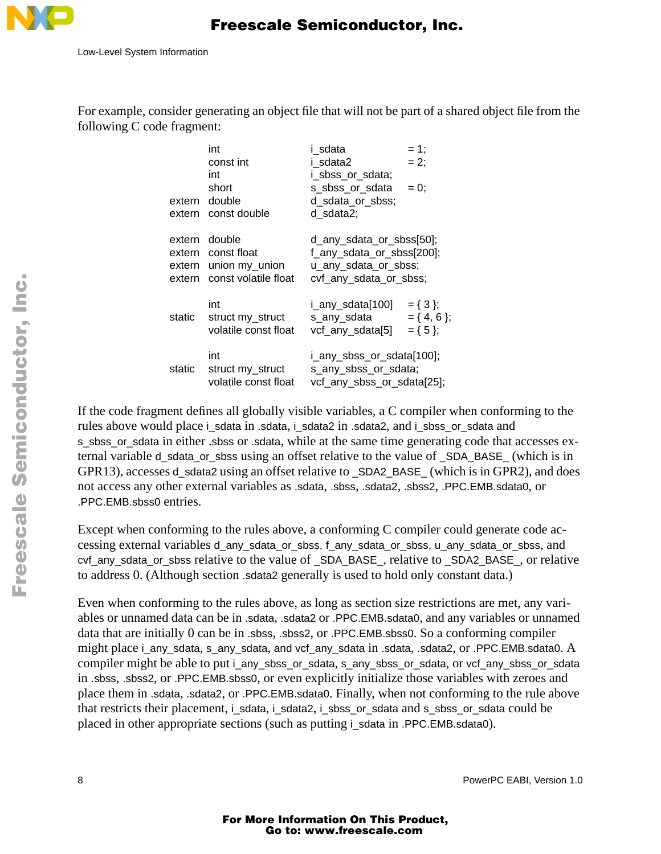

For example, consider generating an object file that will not be part of a shared object file from the following C code fragment:

| extern<br>extern | int<br>const int<br>int<br>short<br>double<br>const double                    | i sdata<br>i sdata2<br>i_sbss_or_sdata;<br>s_sbss_or_sdata<br>d_sdata_or_sbss;<br>d sdata2;             | $= 1;$<br>$= 2$ ;<br>$= 0$ :                  |
|------------------|-------------------------------------------------------------------------------|---------------------------------------------------------------------------------------------------------|-----------------------------------------------|
| extern<br>extern | extern double<br>extern const float<br>union my_union<br>const volatile float | d_any_sdata_or_sbss[50];<br>f_any_sdata_or_sbss[200];<br>u_any_sdata_or_sbss;<br>cvf_any_sdata_or_sbss; |                                               |
| static           | int<br>struct my_struct<br>volatile const float                               | i_any_sdata[100]<br>s_any_sdata<br>vcf_any_sdata[5]                                                     | $= \{ 3 \};$<br>$= \{4, 6\};$<br>$= \{ 5 \};$ |
| static           | int<br>struct my_struct<br>volatile const float                               | i_any_sbss_or_sdata[100];<br>s_any_sbss_or_sdata;<br>vcf_any_sbss_or_sdata[25];                         |                                               |

If the code fragment defines all globally visible variables, a C compiler when conforming to the rules above would place i\_sdata in .sdata, i\_sdata2 in .sdata2, and i\_sbss\_or\_sdata and s\_sbss\_or\_sdata in either .sbss or .sdata, while at the same time generating code that accesses external variable d\_sdata\_or\_sbss using an offset relative to the value of \_SDA\_BASE\_ (which is in GPR13), accesses d\_sdata2 using an offset relative to \_SDA2\_BASE\_ (which is in GPR2), and does not access any other external variables as .sdata, .sbss, .sdata2, .sbss2, .PPC.EMB.sdata0, or .PPC.EMB.sbss0 entries.

Except when conforming to the rules above, a conforming C compiler could generate code accessing external variables d\_any\_sdata\_or\_sbss, f\_any\_sdata\_or\_sbss, u\_any\_sdata\_or\_sbss, and cvf\_any\_sdata\_or\_sbss relative to the value of \_SDA\_BASE\_, relative to \_SDA2\_BASE\_, or relative to address 0. (Although section .sdata2 generally is used to hold only constant data.)

Even when conforming to the rules above, as long as section size restrictions are met, any variables or unnamed data can be in .sdata, .sdata2 or .PPC.EMB.sdata0, and any variables or unnamed data that are initially 0 can be in .sbss, .sbss2, or .PPC.EMB.sbss0. So a conforming compiler might place i\_any\_sdata, s\_any\_sdata, and vcf\_any\_sdata in .sdata, .sdata2, or .PPC.EMB.sdata0. A compiler might be able to put i\_any\_sbss\_or\_sdata, s\_any\_sbss\_or\_sdata, or vcf\_any\_sbss\_or\_sdata in .sbss, .sbss2, or .PPC.EMB.sbss0, or even explicitly initialize those variables with zeroes and place them in .sdata, .sdata2, or .PPC.EMB.sdata0. Finally, when not conforming to the rule above that restricts their placement, i\_sdata, i\_sdata2, i\_sbss\_or\_sdata and s\_sbss\_or\_sdata could be placed in other appropriate sections (such as putting i\_sdata in .PPC.EMB.sdata0).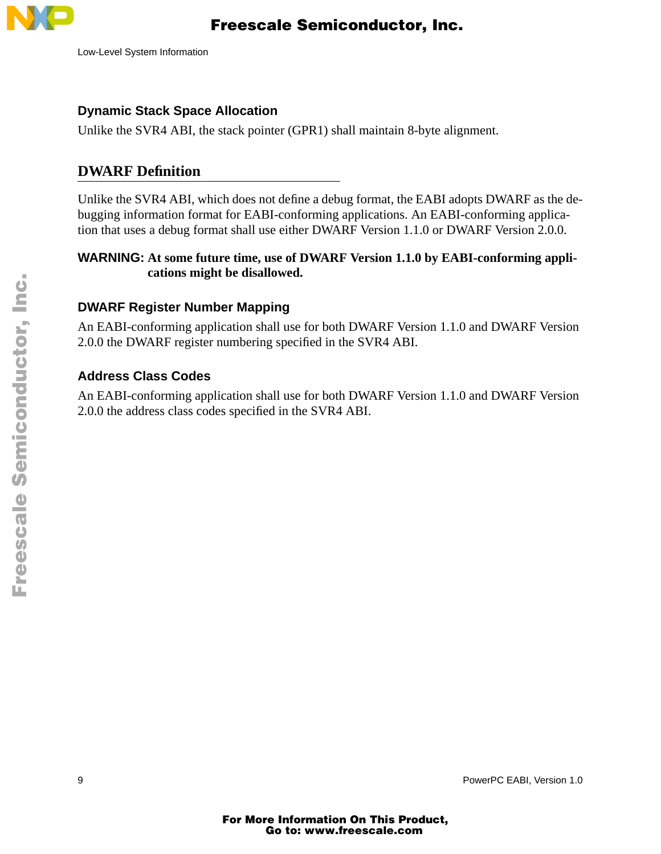

#### **Dynamic Stack Space Allocation**

Unlike the SVR4 ABI, the stack pointer (GPR1) shall maintain 8-byte alignment.

### **DWARF Definition**

Unlike the SVR4 ABI, which does not define a debug format, the EABI adopts DWARF as the debugging information format for EABI-conforming applications. An EABI-conforming application that uses a debug format shall use either DWARF Version 1.1.0 or DWARF Version 2.0.0.

#### **WARNING: At some future time, use of DWARF Version 1.1.0 by EABI-conforming applications might be disallowed.**

#### **DWARF Register Number Mapping**

An EABI-conforming application shall use for both DWARF Version 1.1.0 and DWARF Version 2.0.0 the DWARF register numbering specified in the SVR4 ABI.

#### **Address Class Codes**

An EABI-conforming application shall use for both DWARF Version 1.1.0 and DWARF Version 2.0.0 the address class codes specified in the SVR4 ABI.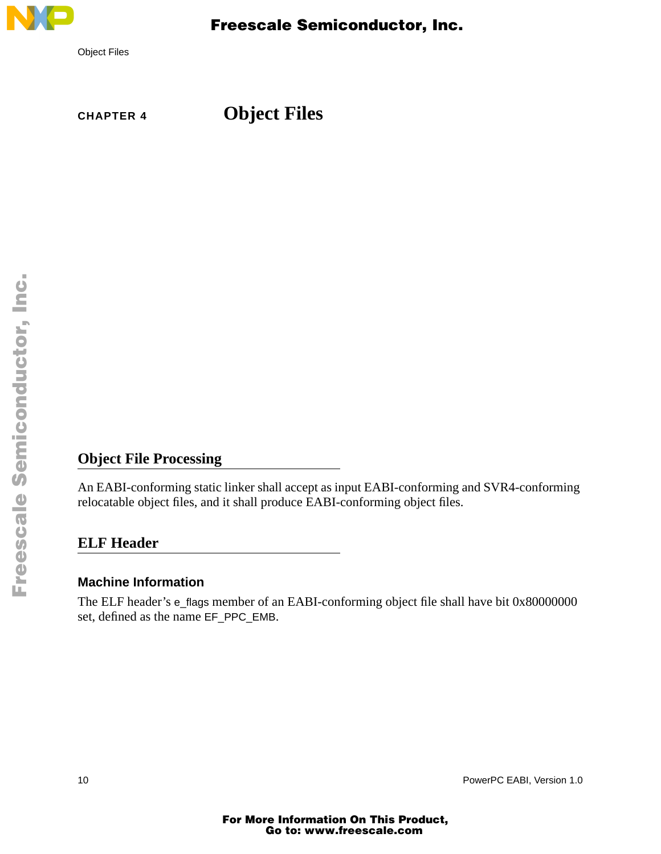

**CHAPTER 4 Object Files**

### **Object File Processing**

An EABI-conforming static linker shall accept as input EABI-conforming and SVR4-conforming relocatable object files, and it shall produce EABI-conforming object files.

#### **ELF Header**

#### **Machine Information**

The ELF header's e\_flags member of an EABI-conforming object file shall have bit 0x80000000 set, defined as the name EF\_PPC\_EMB.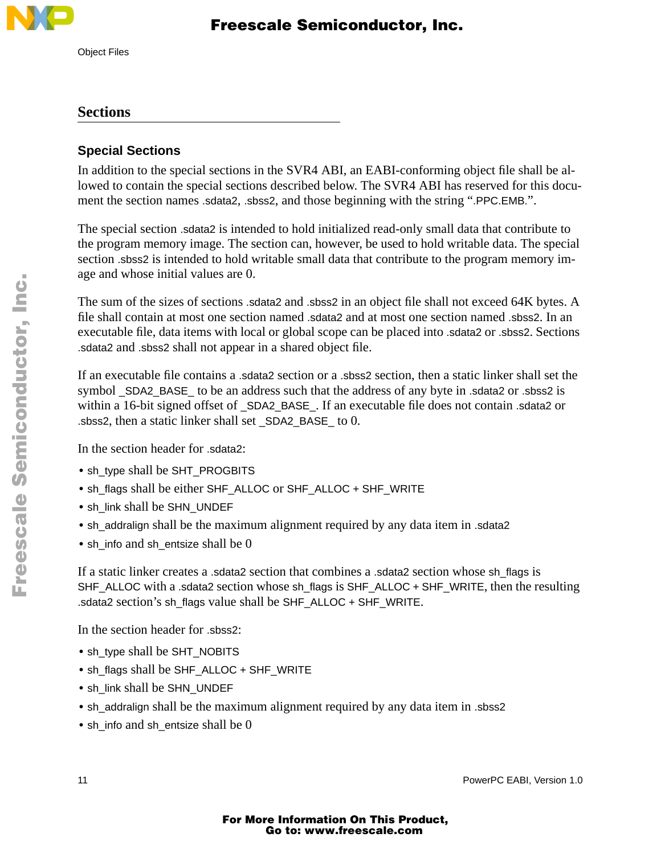

# Freescale Semiconductor, Inc.

#### **Sections**

### **Special Sections**

In addition to the special sections in the SVR4 ABI, an EABI-conforming object file shall be allowed to contain the special sections described below. The SVR4 ABI has reserved for this document the section names .sdata2, .sbss2, and those beginning with the string ".PPC.EMB.".

The special section .sdata2 is intended to hold initialized read-only small data that contribute to the program memory image. The section can, however, be used to hold writable data. The special section .sbss2 is intended to hold writable small data that contribute to the program memory image and whose initial values are 0.

The sum of the sizes of sections .sdata2 and .sbss2 in an object file shall not exceed 64K bytes. A file shall contain at most one section named .sdata2 and at most one section named .sbss2. In an executable file, data items with local or global scope can be placed into .sdata2 or .sbss2. Sections .sdata2 and .sbss2 shall not appear in a shared object file.

If an executable file contains a .sdata2 section or a .sbss2 section, then a static linker shall set the symbol \_SDA2\_BASE\_ to be an address such that the address of any byte in .sdata2 or .sbss2 is within a 16-bit signed offset of \_SDA2\_BASE\_. If an executable file does not contain .sdata2 or .sbss2, then a static linker shall set \_SDA2\_BASE\_ to 0.

In the section header for .sdata2:

- **•** sh\_type shall be SHT\_PROGBITS
- **•** sh\_flags shall be either SHF\_ALLOC or SHF\_ALLOC + SHF\_WRITE
- **•** sh\_link shall be SHN\_UNDEF
- **•** sh\_addralign shall be the maximum alignment required by any data item in .sdata2
- **•** sh\_info and sh\_entsize shall be 0

If a static linker creates a .sdata2 section that combines a .sdata2 section whose sh\_flags is SHF\_ALLOC with a .sdata2 section whose sh\_flags is SHF\_ALLOC + SHF\_WRITE, then the resulting .sdata2 section's sh\_flags value shall be SHF\_ALLOC + SHF\_WRITE.

In the section header for .sbss2:

- **•** sh\_type shall be SHT\_NOBITS
- **•** sh\_flags shall be SHF\_ALLOC + SHF\_WRITE
- **•** sh\_link shall be SHN\_UNDEF
- **•** sh\_addralign shall be the maximum alignment required by any data item in .sbss2
- sh\_info and sh\_entsize shall be 0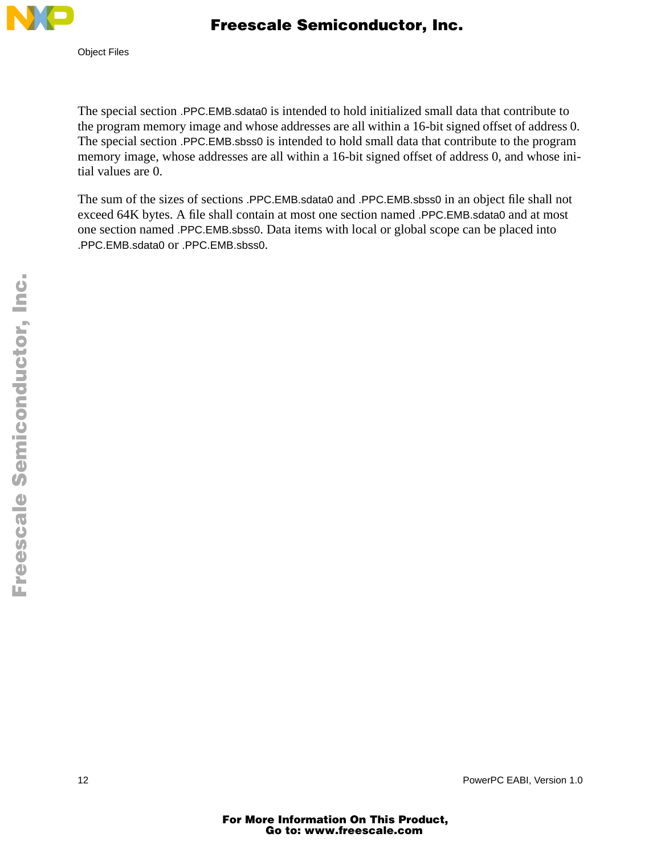

 Freescale Semiconductor, Inc.

The special section .PPC.EMB.sdata0 is intended to hold initialized small data that contribute to the program memory image and whose addresses are all within a 16-bit signed offset of address 0. The special section .PPC.EMB.sbss0 is intended to hold small data that contribute to the program memory image, whose addresses are all within a 16-bit signed offset of address 0, and whose initial values are 0.

The sum of the sizes of sections .PPC.EMB.sdata0 and .PPC.EMB.sbss0 in an object file shall not exceed 64K bytes. A file shall contain at most one section named .PPC.EMB.sdata0 and at most one section named .PPC.EMB.sbss0. Data items with local or global scope can be placed into .PPC.EMB.sdata0 or .PPC.EMB.sbss0.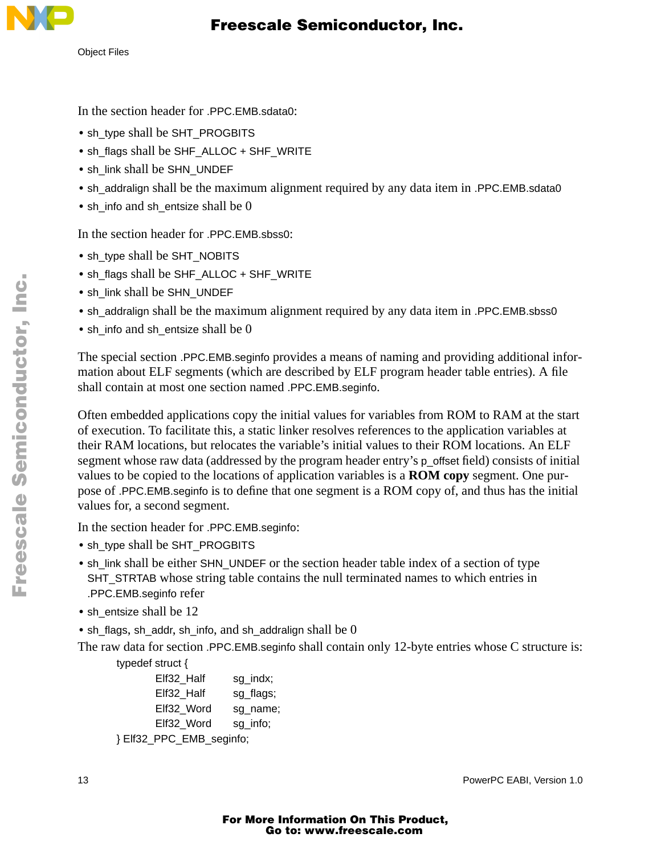Object Files

In the section header for .PPC.EMB.sdata0:

- sh\_type shall be SHT\_PROGBITS
- **•** sh\_flags shall be SHF\_ALLOC + SHF\_WRITE
- **•** sh\_link shall be SHN\_UNDEF
- sh\_addralign shall be the maximum alignment required by any data item in .PPC.EMB.sdata0
- sh\_info and sh\_entsize shall be 0

In the section header for .PPC.EMB.sbss0:

- sh\_type shall be SHT\_NOBITS
- sh\_flags shall be SHF\_ALLOC + SHF\_WRITE
- **•** sh\_link shall be SHN\_UNDEF
- sh\_addralign shall be the maximum alignment required by any data item in .PPC.EMB.sbss0
- sh\_info and sh\_entsize shall be 0

The special section .PPC.EMB.seginfo provides a means of naming and providing additional information about ELF segments (which are described by ELF program header table entries). A file shall contain at most one section named .PPC.EMB.seginfo.

Often embedded applications copy the initial values for variables from ROM to RAM at the start of execution. To facilitate this, a static linker resolves references to the application variables at their RAM locations, but relocates the variable's initial values to their ROM locations. An ELF segment whose raw data (addressed by the program header entry's p\_offset field) consists of initial values to be copied to the locations of application variables is a **ROM copy** segment. One purpose of .PPC.EMB.seginfo is to define that one segment is a ROM copy of, and thus has the initial values for, a second segment.

In the section header for .PPC.EMB.seginfo:

- **•** sh\_type shall be SHT\_PROGBITS
- sh\_link shall be either SHN\_UNDEF or the section header table index of a section of type SHT\_STRTAB whose string table contains the null terminated names to which entries in .PPC.EMB.seginfo refer
- sh\_entsize shall be 12
- **•** sh\_flags, sh\_addr, sh\_info, and sh\_addralign shall be 0

The raw data for section .PPC.EMB.seginfo shall contain only 12-byte entries whose C structure is:

typedef struct {

| Elf32 Half               | sg_indx;  |
|--------------------------|-----------|
| Elf32 Half               | sg_flags; |
| Elf32 Word               | sg name;  |
| Elf32 Word               | sg_info;  |
| } Elf32_PPC_EMB_seginfo; |           |
|                          |           |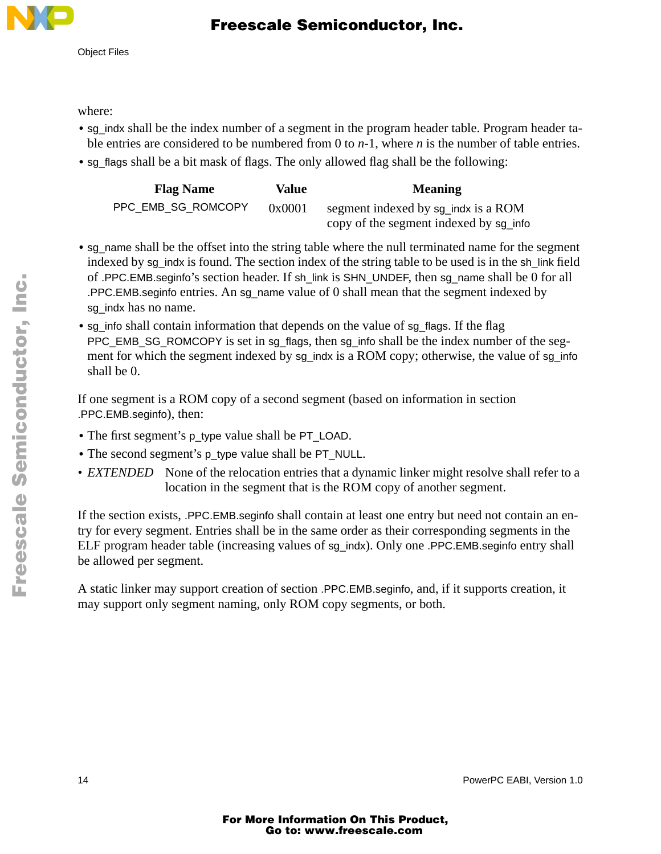

where:

- **•** sg\_indx shall be the index number of a segment in the program header table. Program header table entries are considered to be numbered from 0 to *n*-1, where *n* is the number of table entries.
- **•** sg\_flags shall be a bit mask of flags. The only allowed flag shall be the following:

| <b>Flag Name</b>   | Value  | <b>Meaning</b>                         |
|--------------------|--------|----------------------------------------|
| PPC EMB SG ROMCOPY | 0x0001 | segment indexed by sq indx is a ROM    |
|                    |        | copy of the segment indexed by sg_info |

- sg\_name shall be the offset into the string table where the null terminated name for the segment indexed by sg\_indx is found. The section index of the string table to be used is in the sh\_link field of .PPC.EMB.seginfo's section header. If sh\_link is SHN\_UNDEF, then sg\_name shall be 0 for all .PPC.EMB.seginfo entries. An sg\_name value of 0 shall mean that the segment indexed by sq indx has no name.
- sg\_info shall contain information that depends on the value of sg\_flags. If the flag PPC\_EMB\_SG\_ROMCOPY is set in sg\_flags, then sg\_info shall be the index number of the segment for which the segment indexed by sg\_indx is a ROM copy; otherwise, the value of sg\_info shall be 0.

If one segment is a ROM copy of a second segment (based on information in section .PPC.EMB.seginfo), then:

- **•** The first segment's p\_type value shall be PT\_LOAD.
- **•** The second segment's p\_type value shall be PT\_NULL.
- *EXTENDED* None of the relocation entries that a dynamic linker might resolve shall refer to a location in the segment that is the ROM copy of another segment.

If the section exists, .PPC.EMB.seginfo shall contain at least one entry but need not contain an entry for every segment. Entries shall be in the same order as their corresponding segments in the ELF program header table (increasing values of sg\_indx). Only one .PPC.EMB.seginfo entry shall be allowed per segment.

A static linker may support creation of section .PPC.EMB.seginfo, and, if it supports creation, it may support only segment naming, only ROM copy segments, or both.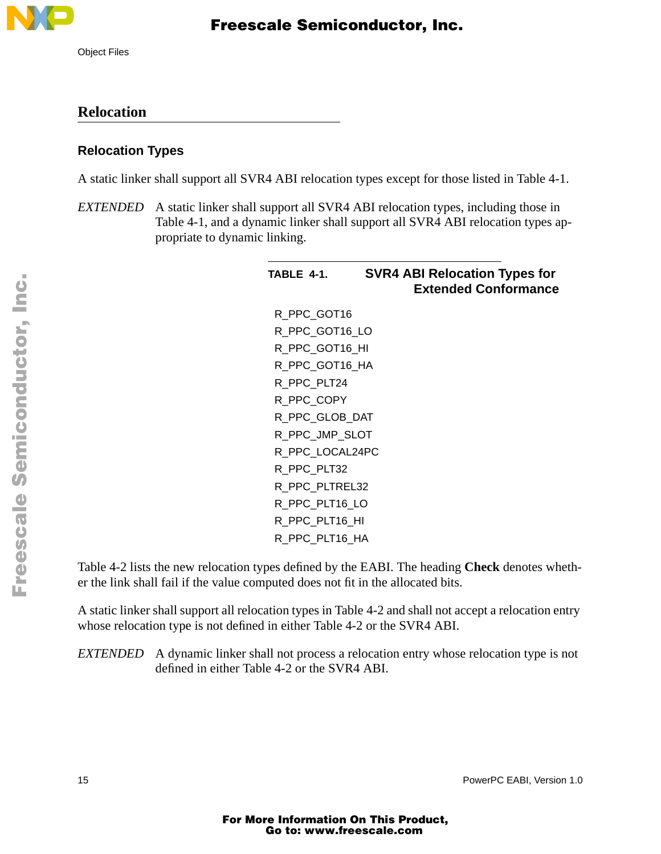

### **Relocation**

#### **Relocation Types**

A static linker shall support all SVR4 ABI relocation types except for those listed in Table 4-1.

*EXTENDED* A static linker shall support all SVR4 ABI relocation types, including those in Table 4-1, and a dynamic linker shall support all SVR4 ABI relocation types appropriate to dynamic linking.

| <b>TABLE 4-1.</b> | <b>SVR4 ABI Relocation Types for</b><br><b>Extended Conformance</b> |
|-------------------|---------------------------------------------------------------------|
| R PPC GOT16       |                                                                     |
| R_PPC_GOT16_LO    |                                                                     |
| R PPC GOT16 HI    |                                                                     |
| R_PPC_GOT16_HA    |                                                                     |
| R_PPC_PLT24       |                                                                     |
| R PPC COPY        |                                                                     |
| R PPC GLOB DAT    |                                                                     |
| R_PPC_JMP_SLOT    |                                                                     |
| R PPC LOCAL24PC   |                                                                     |
| R PPC PLT32       |                                                                     |
| R PPC PLTREL32    |                                                                     |
| R PPC PLT16 LO    |                                                                     |
| R_PPC_PLT16_HI    |                                                                     |
| R_PPC_PLT16_HA    |                                                                     |

Table 4-2 lists the new relocation types defined by the EABI. The heading **Check** denotes whether the link shall fail if the value computed does not fit in the allocated bits.

A static linker shall support all relocation types in Table 4-2 and shall not accept a relocation entry whose relocation type is not defined in either Table 4-2 or the SVR4 ABI.

*EXTENDED* A dynamic linker shall not process a relocation entry whose relocation type is not defined in either Table 4-2 or the SVR4 ABI.

n

.<br>ق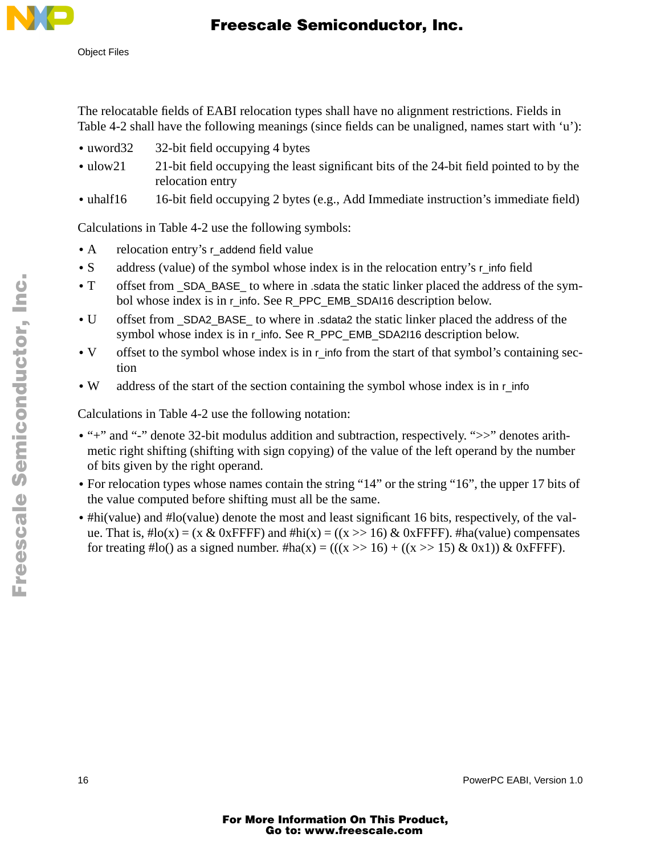

Object Files

The relocatable fields of EABI relocation types shall have no alignment restrictions. Fields in Table 4-2 shall have the following meanings (since fields can be unaligned, names start with 'u'):

- uword32 32-bit field occupying 4 bytes
- ulow21 21-bit field occupying the least significant bits of the 24-bit field pointed to by the relocation entry
- uhalf16 16-bit field occupying 2 bytes (e.g., Add Immediate instruction's immediate field)

Calculations in Table 4-2 use the following symbols:

- A relocation entry's r\_addend field value
- S address (value) of the symbol whose index is in the relocation entry's r\_info field
- **•** T offset from \_SDA\_BASE\_ to where in .sdata the static linker placed the address of the symbol whose index is in r\_info. See R\_PPC\_EMB\_SDAI16 description below.
- **•** U offset from \_SDA2\_BASE\_ to where in .sdata2 the static linker placed the address of the symbol whose index is in r\_info. See R\_PPC\_EMB\_SDA2I16 description below.
- V offset to the symbol whose index is in r info from the start of that symbol's containing section
- W address of the start of the section containing the symbol whose index is in r\_info

Calculations in Table 4-2 use the following notation:

- "<sup>+</sup>" and "<sup>-</sup>" denote 32-bit modulus addition and subtraction, respectively. ">>" denotes arithmetic right shifting (shifting with sign copying) of the value of the left operand by the number of bits given by the right operand.
- For relocation types whose names contain the string "14" or the string "16", the upper 17 bits of the value computed before shifting must all be the same.
- #hi(value) and #lo(value) denote the most and least significant 16 bits, respectively, of the value. That is,  $\text{Ho}(x) = (x \& 0x \text{FFF})$  and  $\text{Hhi}(x) = ((x \gg 16) \& 0x \text{FFF})$ .  $\text{Hha}(value)$  compensates for treating #lo() as a signed number. #ha(x) = (((x >> 16) + ((x >> 15) & 0x1)) & 0xFFFF).

16 PowerPC EABI, Version 1.0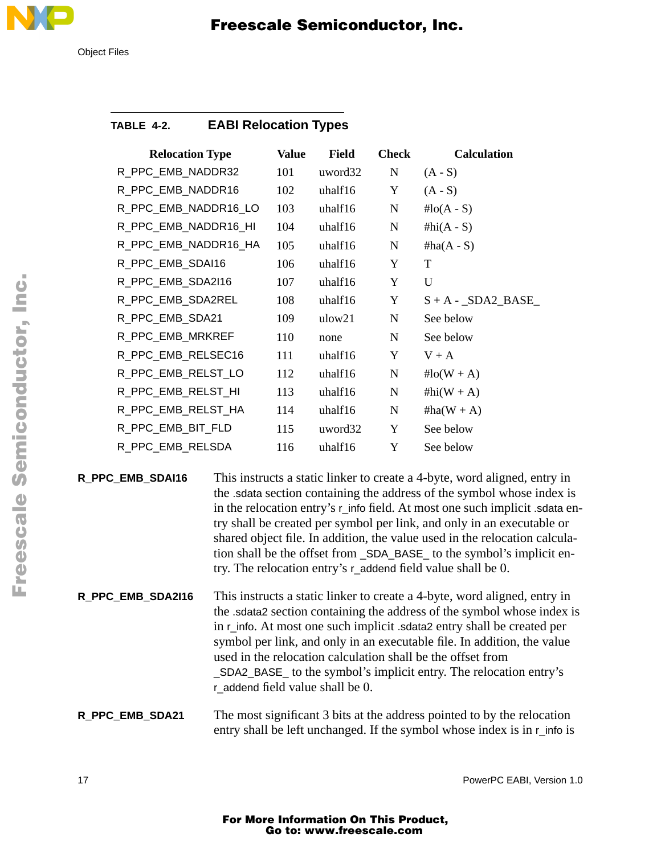

# Freescale Semiconductor, Inc.

### **TABLE 4-2. EABI Relocation Types**

| <b>Relocation Type</b> | <b>Value</b> | <b>Field</b> | <b>Check</b> | <b>Calculation</b>   |
|------------------------|--------------|--------------|--------------|----------------------|
| R_PPC_EMB_NADDR32      | 101          | uword32      | ${\bf N}$    | $(A - S)$            |
| R_PPC_EMB_NADDR16      | 102          | uhalf16      | Y            | $(A - S)$            |
| R_PPC_EMB_NADDR16_LO   | 103          | uhalf16      | ${\bf N}$    | # $\text{lo}(A - S)$ |
| R_PPC_EMB_NADDR16_HI   | 104          | uhalf16      | ${\bf N}$    | # $hi(A - S)$        |
| R_PPC_EMB_NADDR16_HA   | 105          | uhalf16      | $\mathbf N$  | $#ha(A - S)$         |
| R_PPC_EMB_SDAI16       | 106          | uhalf16      | Y            | T                    |
| R_PPC_EMB_SDA2I16      | 107          | uhalf16      | Y            | U                    |
| R_PPC_EMB_SDA2REL      | 108          | uhalf16      | Y            | $S + A - SDA2_BASE$  |
| R_PPC_EMB_SDA21        | 109          | ulow21       | N            | See below            |
| R_PPC_EMB_MRKREF       | 110          | none         | $\mathbf N$  | See below            |
| R_PPC_EMB_RELSEC16     | 111          | uhalf16      | Y            | $V + A$              |
| R_PPC_EMB_RELST_LO     | 112          | uhalf16      | $\mathbf N$  | # $lo(W + A)$        |
| R_PPC_EMB_RELST_HI     | 113          | uhalf16      | $\mathbf N$  | #hi( $W + A$ )       |
| R_PPC_EMB_RELST_HA     | 114          | uhalf16      | N            | $#ha(W + A)$         |
| R_PPC_EMB_BIT_FLD      | 115          | uword32      | Y            | See below            |
| R_PPC_EMB_RELSDA       | 116          | uhalf16      | Y            | See below            |
|                        |              |              |              |                      |

**R\_PPC\_EMB\_SDAI16** This instructs a static linker to create a 4-byte, word aligned, entry in the .sdata section containing the address of the symbol whose index is in the relocation entry's r\_info field. At most one such implicit .sdata entry shall be created per symbol per link, and only in an executable or shared object file. In addition, the value used in the relocation calculation shall be the offset from \_SDA\_BASE\_ to the symbol's implicit entry. The relocation entry's r\_addend field value shall be 0.

**R\_PPC\_EMB\_SDA2I16** This instructs a static linker to create a 4-byte, word aligned, entry in the .sdata2 section containing the address of the symbol whose index is in r\_info. At most one such implicit .sdata2 entry shall be created per symbol per link, and only in an executable file. In addition, the value used in the relocation calculation shall be the offset from \_SDA2\_BASE\_ to the symbol's implicit entry. The relocation entry's r\_addend field value shall be 0.

#### **R\_PPC\_EMB\_SDA21** The most significant 3 bits at the address pointed to by the relocation entry shall be left unchanged. If the symbol whose index is in r\_info is

F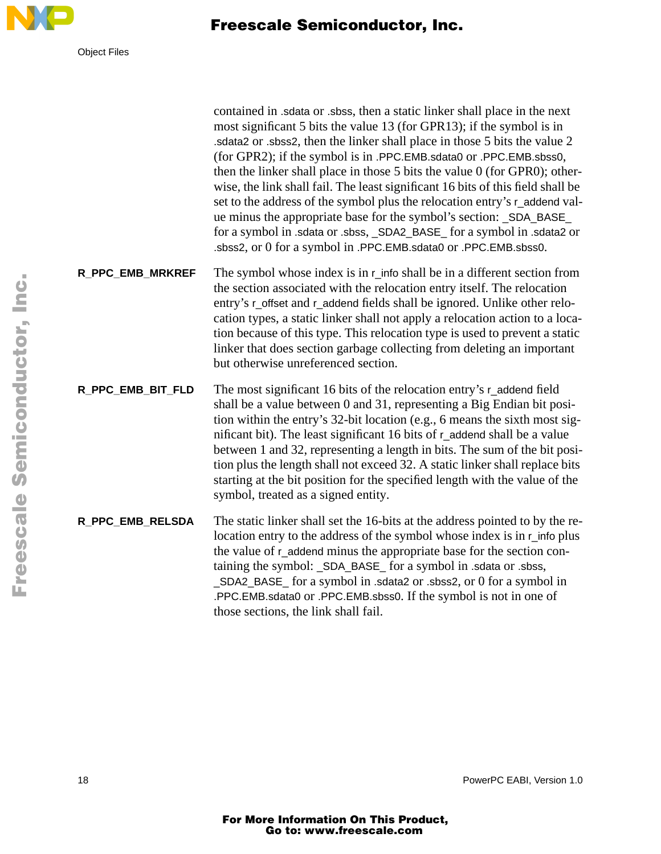

contained in .sdata or .sbss, then a static linker shall place in the next most significant 5 bits the value 13 (for GPR13); if the symbol is in .sdata2 or .sbss2, then the linker shall place in those 5 bits the value 2 (for GPR2); if the symbol is in .PPC.EMB.sdata0 or .PPC.EMB.sbss0, then the linker shall place in those 5 bits the value 0 (for GPR0); otherwise, the link shall fail. The least significant 16 bits of this field shall be set to the address of the symbol plus the relocation entry's r\_addend value minus the appropriate base for the symbol's section: \_SDA\_BASE\_ for a symbol in .sdata or .sbss, SDA2 BASE for a symbol in .sdata2 or .sbss2, or 0 for a symbol in .PPC.EMB.sdata0 or .PPC.EMB.sbss0.

#### **R\_PPC\_EMB\_MRKREF** The symbol whose index is in r\_info shall be in a different section from the section associated with the relocation entry itself. The relocation entry's r\_offset and r\_addend fields shall be ignored. Unlike other relocation types, a static linker shall not apply a relocation action to a location because of this type. This relocation type is used to prevent a static linker that does section garbage collecting from deleting an important but otherwise unreferenced section.

#### **R\_PPC\_EMB\_BIT\_FLD** The most significant 16 bits of the relocation entry's r\_addend field shall be a value between 0 and 31, representing a Big Endian bit position within the entry's 32-bit location (e.g., 6 means the sixth most significant bit). The least significant 16 bits of r\_addend shall be a value between 1 and 32, representing a length in bits. The sum of the bit position plus the length shall not exceed 32. A static linker shall replace bits starting at the bit position for the specified length with the value of the symbol, treated as a signed entity.

#### **R\_PPC\_EMB\_RELSDA** The static linker shall set the 16-bits at the address pointed to by the relocation entry to the address of the symbol whose index is in r\_info plus the value of r\_addend minus the appropriate base for the section containing the symbol: \_SDA\_BASE\_ for a symbol in .sdata or .sbss, \_SDA2\_BASE\_ for a symbol in .sdata2 or .sbss2, or 0 for a symbol in .PPC.EMB.sdata0 or .PPC.EMB.sbss0. If the symbol is not in one of those sections, the link shall fail.

18 PowerPC EABI, Version 1.0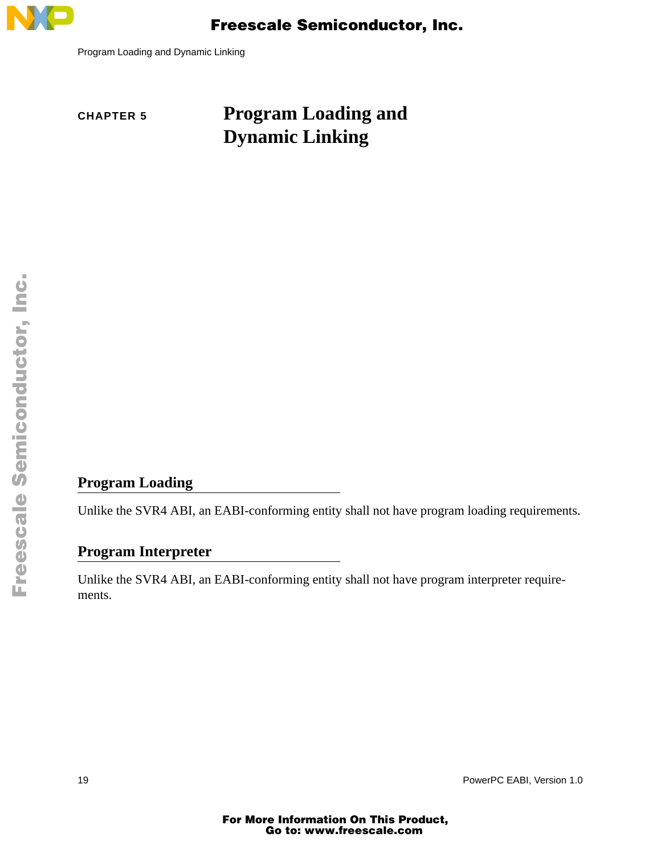

Program Loading and Dynamic Linking

# **CHAPTER 5 Program Loading and Dynamic Linking**

### **Program Loading**

Unlike the SVR4 ABI, an EABI-conforming entity shall not have program loading requirements.

#### **Program Interpreter**

Unlike the SVR4 ABI, an EABI-conforming entity shall not have program interpreter requirements.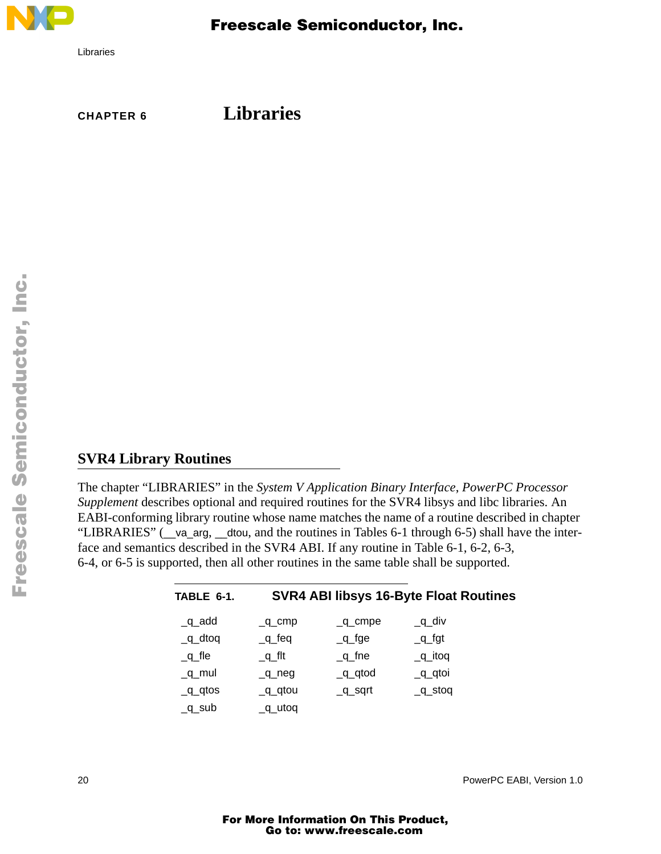

Libraries

 Freescale Semiconductor, Inc.

**CHAPTER 6 Libraries**

#### **SVR4 Library Routines**

The chapter "LIBRARIES" in the *System V Application Binary Interface*, *PowerPC Processor Supplement* describes optional and required routines for the SVR4 libsys and libc libraries. An EABI-conforming library routine whose name matches the name of a routine described in chapter "LIBRARIES" (\_\_va\_arg, \_\_dtou, and the routines in Tables 6-1 through 6-5) shall have the interface and semantics described in the SVR4 ABI. If any routine in Table 6-1, 6-2, 6-3, 6-4, or 6-5 is supported, then all other routines in the same table shall be supported.

| TABLE 6-1.                    |                       |             | <b>SVR4 ABI libsys 16-Byte Float Routines</b> |
|-------------------------------|-----------------------|-------------|-----------------------------------------------|
| $_q$ _add                     | $\_q$ cmp             | $\_q$ _cmpe | $q$ div                                       |
| $q$ _dtoq                     | $\_q$ <sub>_feq</sub> | $q_f$ ge    | $q_{f}$ gt                                    |
| $q$ fle                       | qft                   | $\_q$ _fne  | $q$ _itoq                                     |
| $q$ mul                       | $\_q$ neg             | $q$ qtod    | $q$ <sup>d</sup>                              |
| $q$ <sup><math>q</math></sup> | $\_q\_q$ tou          | $_q$ sqrt   | $\_q\_st$ oq                                  |
| $q$ _sub                      | $q$ _utoq             |             |                                               |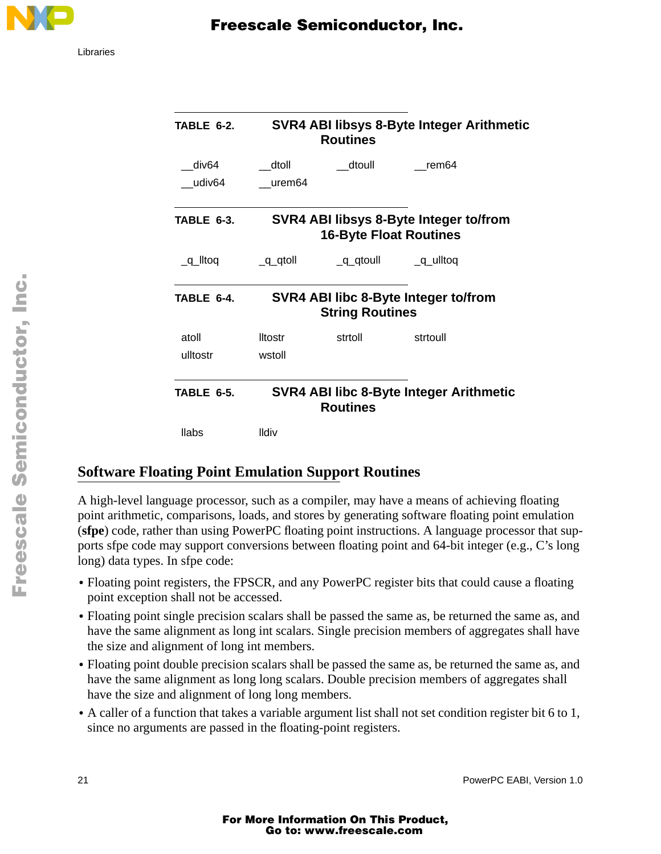

| <b>TABLE 6-2.</b>           |                          | <b>Routines</b>               | SVR4 ABI libsys 8-Byte Integer Arithmetic |
|-----------------------------|--------------------------|-------------------------------|-------------------------------------------|
| div <sub>64</sub><br>udiv64 | dtoll<br>urem64          | dtoull                        | rem64                                     |
| TABLE 6-3.                  |                          | <b>16-Byte Float Routines</b> | SVR4 ABI libsys 8-Byte Integer to/from    |
| $q$ lltoq                   | $q$ qtoll                | $q$ <sup>d</sup>              | $q$ _ulltoq                               |
| TABLE 6-4.                  |                          | <b>String Routines</b>        | SVR4 ABI libc 8-Byte Integer to/from      |
| atoll<br>ulltostr           | <b>Iltostr</b><br>wstoll | strtoll                       | strtoull                                  |
| <b>TABLE 6-5.</b>           |                          | <b>Routines</b>               | SVR4 ABI libc 8-Byte Integer Arithmetic   |
| <b>llabs</b>                | <b>Ildiv</b>             |                               |                                           |

### **Software Floating Point Emulation Support Routines**

A high-level language processor, such as a compiler, may have a means of achieving floating point arithmetic, comparisons, loads, and stores by generating software floating point emulation (**sfpe**) code, rather than using PowerPC floating point instructions. A language processor that supports sfpe code may support conversions between floating point and 64-bit integer (e.g., C's long long) data types. In sfpe code:

- Floating point registers, the FPSCR, and any PowerPC register bits that could cause a floating point exception shall not be accessed.
- **•** Floating point single precision scalars shall be passed the same as, be returned the same as, and have the same alignment as long int scalars. Single precision members of aggregates shall have the size and alignment of long int members.
- Floating point double precision scalars shall be passed the same as, be returned the same as, and have the same alignment as long long scalars. Double precision members of aggregates shall have the size and alignment of long long members.
- **•** A caller of a function that takes a variable argument list shall not set condition register bit 6 to 1, since no arguments are passed in the floating-point registers.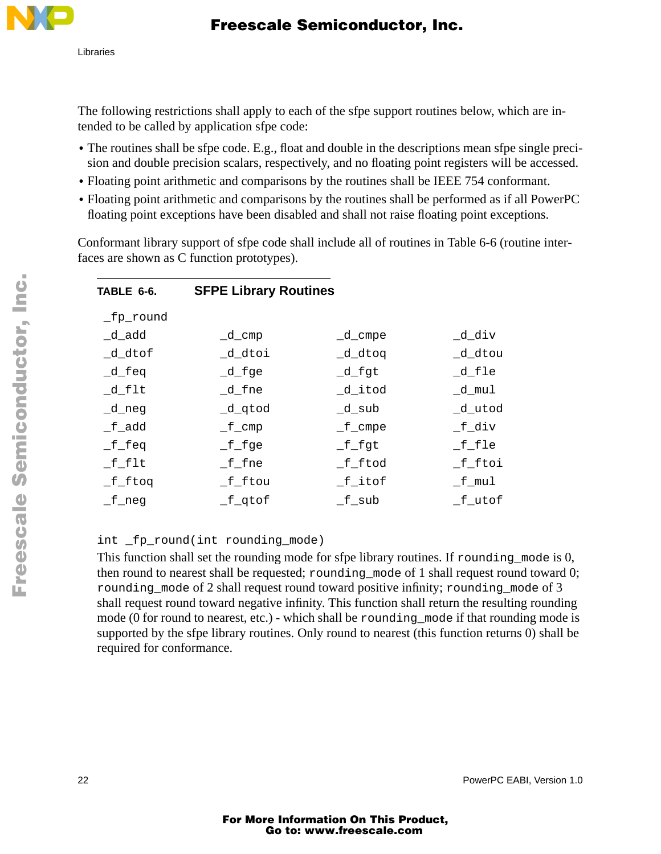

The following restrictions shall apply to each of the sfpe support routines below, which are intended to be called by application sfpe code:

- The routines shall be sfpe code. E.g., float and double in the descriptions mean sfpe single precision and double precision scalars, respectively, and no floating point registers will be accessed.
- Floating point arithmetic and comparisons by the routines shall be IEEE 754 conformant.
- Floating point arithmetic and comparisons by the routines shall be performed as if all PowerPC floating point exceptions have been disabled and shall not raise floating point exceptions.

Conformant library support of sfpe code shall include all of routines in Table 6-6 (routine interfaces are shown as C function prototypes).

| <b>SFPE Library Routines</b> |            |           |
|------------------------------|------------|-----------|
|                              |            |           |
| $-d$ cmp                     | $_d$ _cmpe | _d_div    |
| _d_dtoi                      | _d_dtoq    | _d_dtou   |
| $-d_f$ ge                    | $-d_f$ gt  | $-d_fle$  |
| $_d$ fne                     | _d_itod    | _d_mul    |
| _d_qtod                      | $-d$ _sub  | d utod    |
| $\_f$ cmp                    | $_f$ _cmpe | $_f$ -div |
| $_f$ -fge                    | $_f_f$     | $_f_f$    |
| $_f$ -f $_n$ e               | $_f$ -ftod | f ftoi    |
| f ftou                       | f itof     | $_f$ mul  |
| $_f$ _qtof                   | f sub      | f utof    |
|                              |            |           |

#### int \_fp\_round(int rounding\_mode)

This function shall set the rounding mode for sfpe library routines. If rounding mode is 0, then round to nearest shall be requested; rounding\_mode of 1 shall request round toward 0; rounding mode of 2 shall request round toward positive infinity; rounding mode of 3 shall request round toward negative infinity. This function shall return the resulting rounding mode (0 for round to nearest, etc.) - which shall be rounding\_mode if that rounding mode is supported by the sfpe library routines. Only round to nearest (this function returns 0) shall be required for conformance.

F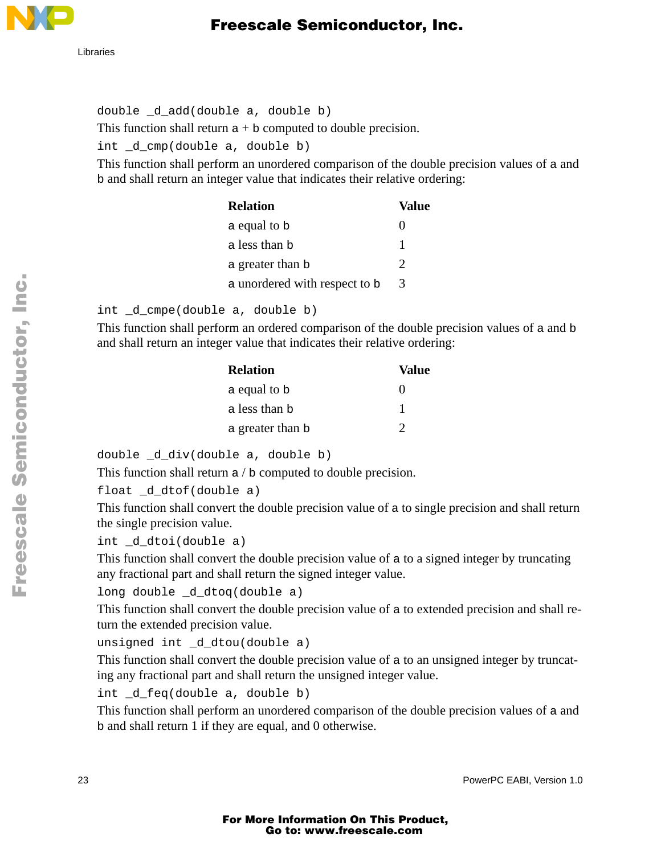

Libraries

double \_d\_add(double a, double b) This function shall return  $a + b$  computed to double precision. int \_d\_cmp(double a, double b)

This function shall perform an unordered comparison of the double precision values of a and b and shall return an integer value that indicates their relative ordering:

| <b>Relation</b>               | Value |
|-------------------------------|-------|
| a equal to b                  | 0     |
| a less than b                 |       |
| a greater than b              | 2     |
| a unordered with respect to b | 3     |

int \_d\_cmpe(double a, double b)

This function shall perform an ordered comparison of the double precision values of a and b and shall return an integer value that indicates their relative ordering:

| <b>Relation</b>  | Value             |
|------------------|-------------------|
| a equal to b     | $\mathbf{\Omega}$ |
| a less than b    |                   |
| a greater than b | $\gamma$          |

double \_d\_div(double a, double b)

This function shall return a / b computed to double precision.

```
float _d_dtof(double a)
```
This function shall convert the double precision value of a to single precision and shall return the single precision value.

```
int d dtoi(double a)
```
This function shall convert the double precision value of a to a signed integer by truncating any fractional part and shall return the signed integer value.

```
long double _d_dtoq(double a)
```
This function shall convert the double precision value of a to extended precision and shall return the extended precision value.

```
unsigned int _d_dtou(double a)
```
This function shall convert the double precision value of a to an unsigned integer by truncating any fractional part and shall return the unsigned integer value.

```
int _d_feq(double a, double b)
```
This function shall perform an unordered comparison of the double precision values of a and b and shall return 1 if they are equal, and 0 otherwise.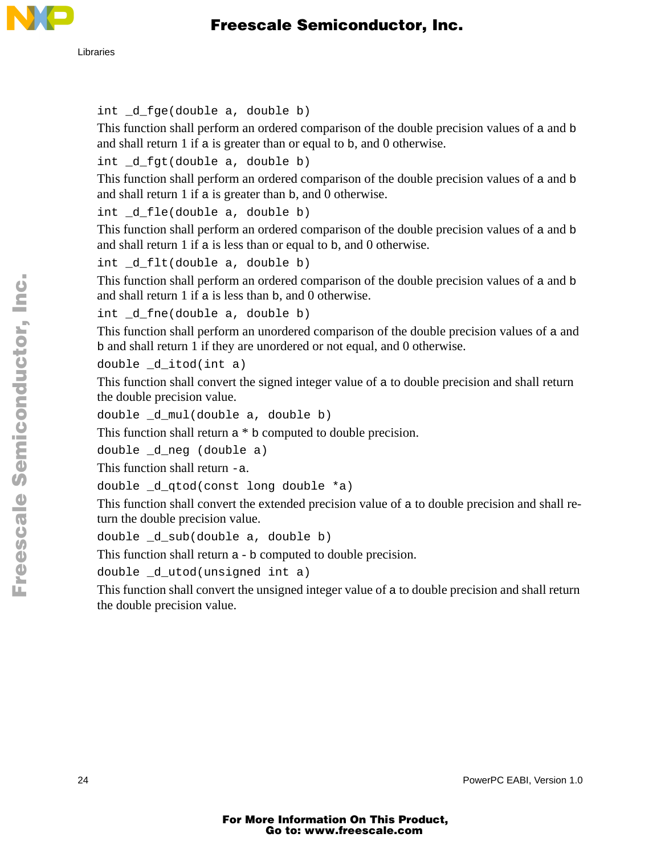

#### int \_d\_fge(double a, double b)

This function shall perform an ordered comparison of the double precision values of a and b and shall return 1 if a is greater than or equal to b, and 0 otherwise.

int d fqt(double a, double b)

This function shall perform an ordered comparison of the double precision values of a and b and shall return 1 if a is greater than b, and 0 otherwise.

int d fle(double a, double b)

This function shall perform an ordered comparison of the double precision values of a and b and shall return 1 if a is less than or equal to b, and 0 otherwise.

int \_d\_flt(double a, double b)

This function shall perform an ordered comparison of the double precision values of a and b and shall return 1 if a is less than b, and 0 otherwise.

int \_d\_fne(double a, double b)

This function shall perform an unordered comparison of the double precision values of a and b and shall return 1 if they are unordered or not equal, and 0 otherwise.

double \_d\_itod(int a)

This function shall convert the signed integer value of a to double precision and shall return the double precision value.

```
double _d_mul(double a, double b)
```
This function shall return a \* b computed to double precision.

```
double _d_neg (double a)
```
This function shall return -a.

```
double _d_qtod(const long double *a)
```
This function shall convert the extended precision value of a to double precision and shall return the double precision value.

double \_d\_sub(double a, double b)

This function shall return a - b computed to double precision.

double d utod(unsigned int a)

This function shall convert the unsigned integer value of a to double precision and shall return the double precision value.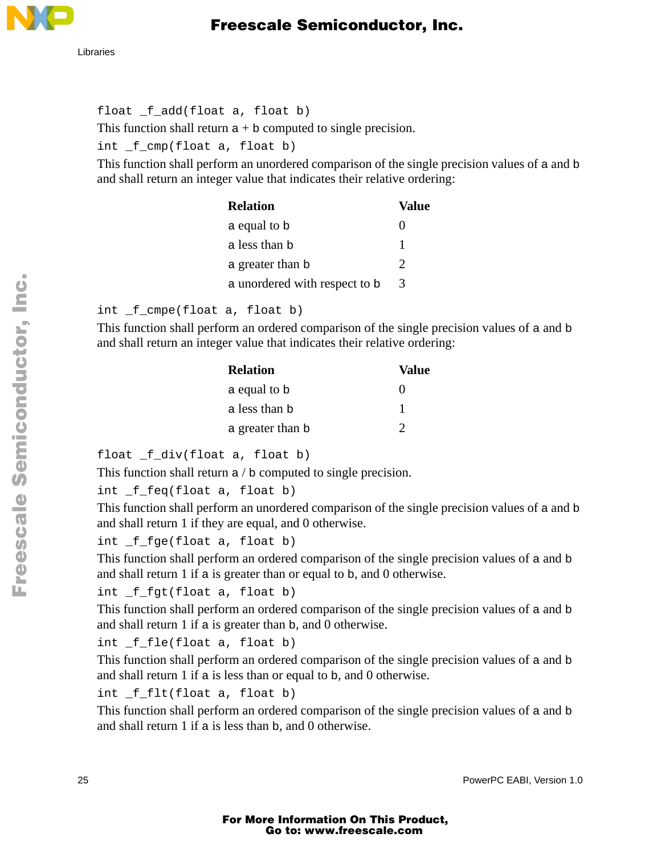

float \_f\_add(float a, float b) This function shall return  $a + b$  computed to single precision. int \_f\_cmp(float a, float b)

This function shall perform an unordered comparison of the single precision values of a and b and shall return an integer value that indicates their relative ordering:

| <b>Relation</b>               | Value |
|-------------------------------|-------|
| a equal to b                  | 0     |
| a less than b                 |       |
| a greater than b              | ႒     |
| a unordered with respect to b | 3     |

int \_f\_cmpe(float a, float b)

This function shall perform an ordered comparison of the single precision values of a and b and shall return an integer value that indicates their relative ordering:

| <b>Relation</b>  | Value             |
|------------------|-------------------|
| a equal to b     | $\mathbf{\Omega}$ |
| a less than b    |                   |
| a greater than b |                   |

float \_f\_div(float a, float b)

This function shall return a / b computed to single precision.

```
int _f_feq(float a, float b)
```
This function shall perform an unordered comparison of the single precision values of a and b and shall return 1 if they are equal, and 0 otherwise.

```
int _f_fge(float a, float b)
```
This function shall perform an ordered comparison of the single precision values of a and b and shall return 1 if a is greater than or equal to b, and 0 otherwise.

int \_f\_fgt(float a, float b)

This function shall perform an ordered comparison of the single precision values of a and b and shall return 1 if a is greater than b, and 0 otherwise.

```
int _f_fle(float a, float b)
```
This function shall perform an ordered comparison of the single precision values of a and b and shall return 1 if a is less than or equal to b, and 0 otherwise.

```
int _f_flt(float a, float b)
```
This function shall perform an ordered comparison of the single precision values of a and b and shall return 1 if a is less than b, and 0 otherwise.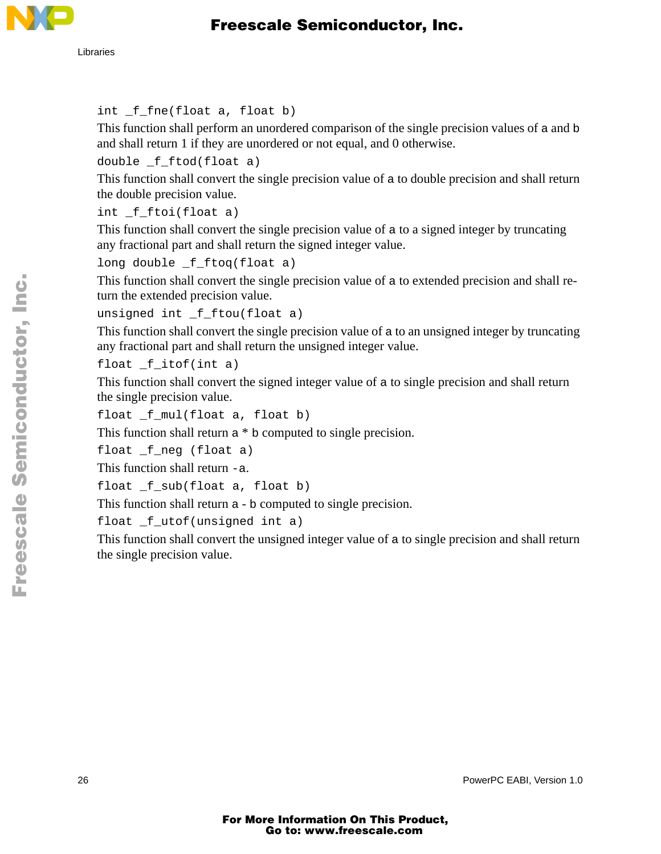

```
int _f_fne(float a, float b)
```
This function shall perform an unordered comparison of the single precision values of a and b and shall return 1 if they are unordered or not equal, and 0 otherwise.

```
double f ftod(float a)
```
This function shall convert the single precision value of a to double precision and shall return the double precision value.

```
int _f_ftoi(float a)
```
This function shall convert the single precision value of a to a signed integer by truncating any fractional part and shall return the signed integer value.

```
long double _f_ftoq(float a)
```
This function shall convert the single precision value of a to extended precision and shall return the extended precision value.

```
unsigned int _f_ftou(float a)
```
This function shall convert the single precision value of a to an unsigned integer by truncating any fractional part and shall return the unsigned integer value.

float \_f\_itof(int a)

This function shall convert the signed integer value of a to single precision and shall return the single precision value.

```
float _f_mul(float a, float b)
```
This function shall return a \* b computed to single precision.

```
float _f_neg (float a)
```
This function shall return -a.

```
float _f_sub(float a, float b)
```
This function shall return a - b computed to single precision.

float \_f\_utof(unsigned int a)

This function shall convert the unsigned integer value of a to single precision and shall return the single precision value.

26 PowerPC EABI, Version 1.0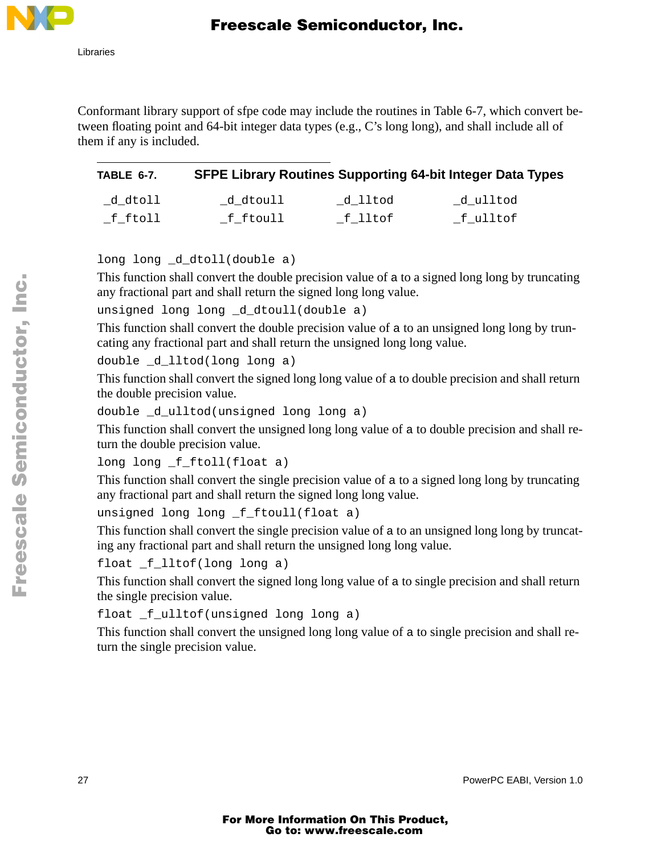

Conformant library support of sfpe code may include the routines in Table 6-7, which convert between floating point and 64-bit integer data types (e.g., C's long long), and shall include all of them if any is included.

| TABLE 6-7.        |          |                   | <b>SFPE Library Routines Supporting 64-bit Integer Data Types</b> |
|-------------------|----------|-------------------|-------------------------------------------------------------------|
| _d_dtoll          | d dtoull | d lltod           | d ulltod                                                          |
| $\_$ f $\_$ ftoll | f ftoull | $\_$ f $\_$ lltof | _f_ulltof                                                         |

long long \_d\_dtoll(double a)

This function shall convert the double precision value of a to a signed long long by truncating any fractional part and shall return the signed long long value.

```
unsigned long long d dtoull(double a)
```
This function shall convert the double precision value of a to an unsigned long long by truncating any fractional part and shall return the unsigned long long value.

double \_d\_lltod(long long a)

This function shall convert the signed long long value of a to double precision and shall return the double precision value.

```
double _d_ulltod(unsigned long long a)
```
This function shall convert the unsigned long long value of a to double precision and shall return the double precision value.

long long \_f\_ftoll(float a)

This function shall convert the single precision value of a to a signed long long by truncating any fractional part and shall return the signed long long value.

```
unsigned long long _f_ftoull(float a)
```
This function shall convert the single precision value of a to an unsigned long long by truncating any fractional part and shall return the unsigned long long value.

```
float _f_lltof(long long a)
```
This function shall convert the signed long long value of a to single precision and shall return the single precision value.

float \_f\_ulltof(unsigned long long a)

This function shall convert the unsigned long long value of a to single precision and shall return the single precision value.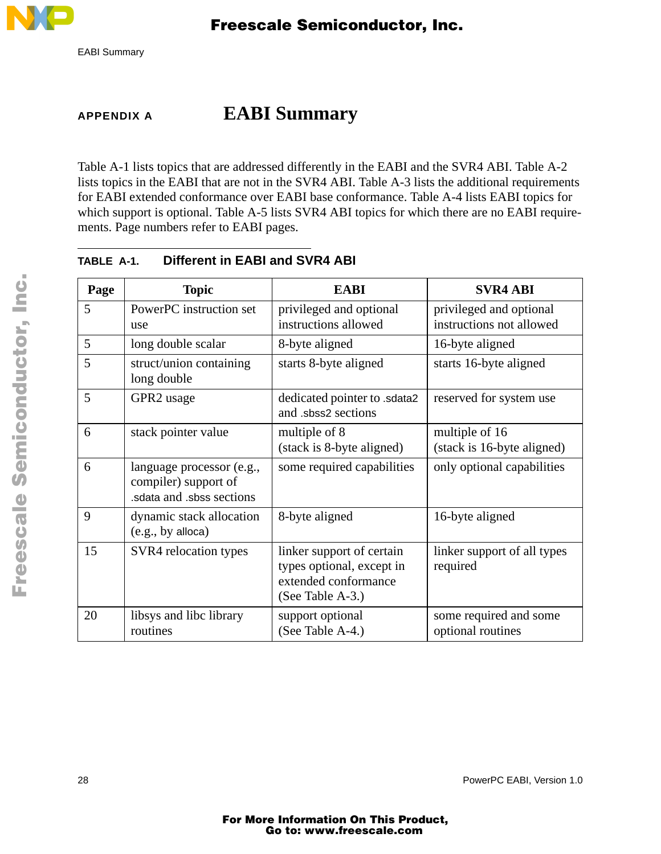

## **APPENDIX A EABI Summary**

Table A-1 lists topics that are addressed differently in the EABI and the SVR4 ABI. Table A-2 lists topics in the EABI that are not in the SVR4 ABI. Table A-3 lists the additional requirements for EABI extended conformance over EABI base conformance. Table A-4 lists EABI topics for which support is optional. Table A-5 lists SVR4 ABI topics for which there are no EABI requirements. Page numbers refer to EABI pages.

| Page | <b>Topic</b>                                                                  | <b>EABI</b>                                                                                        | <b>SVR4 ABI</b>                                     |
|------|-------------------------------------------------------------------------------|----------------------------------------------------------------------------------------------------|-----------------------------------------------------|
| 5    | PowerPC instruction set<br>use                                                | privileged and optional<br>instructions allowed                                                    | privileged and optional<br>instructions not allowed |
| 5    | long double scalar                                                            | 8-byte aligned                                                                                     | 16-byte aligned                                     |
| 5    | struct/union containing<br>long double                                        | starts 8-byte aligned                                                                              | starts 16-byte aligned                              |
| 5    | GPR2 usage                                                                    | dedicated pointer to .sdata2<br>and .sbss2 sections                                                | reserved for system use                             |
| 6    | stack pointer value                                                           | multiple of 8<br>(stack is 8-byte aligned)                                                         | multiple of 16<br>(stack is 16-byte aligned)        |
| 6    | language processor (e.g.,<br>compiler) support of<br>sdata and sbss sections. | some required capabilities                                                                         | only optional capabilities                          |
| 9    | dynamic stack allocation<br>(e.g., by alloca)                                 | 8-byte aligned                                                                                     | 16-byte aligned                                     |
| 15   | SVR4 relocation types                                                         | linker support of certain<br>types optional, except in<br>extended conformance<br>(See Table A-3.) | linker support of all types<br>required             |
| 20   | libsys and libc library<br>routines                                           | support optional<br>(See Table A-4.)                                                               | some required and some<br>optional routines         |

**TABLE A-1. Different in EABI and SVR4 ABI**

n

.<br>ق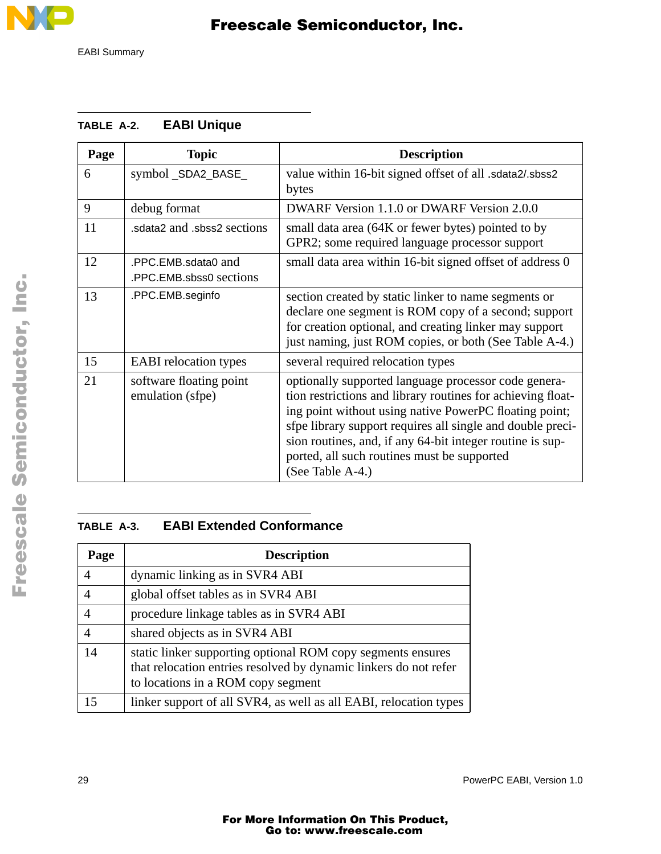

|  | TABLE A-2. |  | <b>EABI Unique</b> |
|--|------------|--|--------------------|
|--|------------|--|--------------------|

| Page | <b>Topic</b>                                   | <b>Description</b>                                                                                                                                                                                                                                                                                                                                                          |
|------|------------------------------------------------|-----------------------------------------------------------------------------------------------------------------------------------------------------------------------------------------------------------------------------------------------------------------------------------------------------------------------------------------------------------------------------|
| 6    | symbol_SDA2_BASE_                              | value within 16-bit signed offset of all .sdata2/.sbss2<br>bytes                                                                                                                                                                                                                                                                                                            |
| 9    | debug format                                   | DWARF Version 1.1.0 or DWARF Version 2.0.0                                                                                                                                                                                                                                                                                                                                  |
| 11   | sdata2 and .sbss2 sections.                    | small data area (64K or fewer bytes) pointed to by<br>GPR2; some required language processor support                                                                                                                                                                                                                                                                        |
| 12   | .PPC.EMB.sdata0 and<br>.PPC.EMB.sbss0 sections | small data area within 16-bit signed offset of address 0                                                                                                                                                                                                                                                                                                                    |
| 13   | .PPC.EMB.seginfo                               | section created by static linker to name segments or<br>declare one segment is ROM copy of a second; support<br>for creation optional, and creating linker may support<br>just naming, just ROM copies, or both (See Table A-4.)                                                                                                                                            |
| 15   | <b>EABI</b> relocation types                   | several required relocation types                                                                                                                                                                                                                                                                                                                                           |
| 21   | software floating point<br>emulation (sfpe)    | optionally supported language processor code genera-<br>tion restrictions and library routines for achieving float-<br>ing point without using native PowerPC floating point;<br>sfpe library support requires all single and double preci-<br>sion routines, and, if any 64-bit integer routine is sup-<br>ported, all such routines must be supported<br>(See Table A-4.) |

#### **TABLE A-3. EABI Extended Conformance**

| Page | <b>Description</b>                                                                                                                                                    |
|------|-----------------------------------------------------------------------------------------------------------------------------------------------------------------------|
|      | dynamic linking as in SVR4 ABI                                                                                                                                        |
|      | global offset tables as in SVR4 ABI                                                                                                                                   |
|      | procedure linkage tables as in SVR4 ABI                                                                                                                               |
|      | shared objects as in SVR4 ABI                                                                                                                                         |
| 14   | static linker supporting optional ROM copy segments ensures<br>that relocation entries resolved by dynamic linkers do not refer<br>to locations in a ROM copy segment |
| 15   | linker support of all SVR4, as well as all EABI, relocation types                                                                                                     |